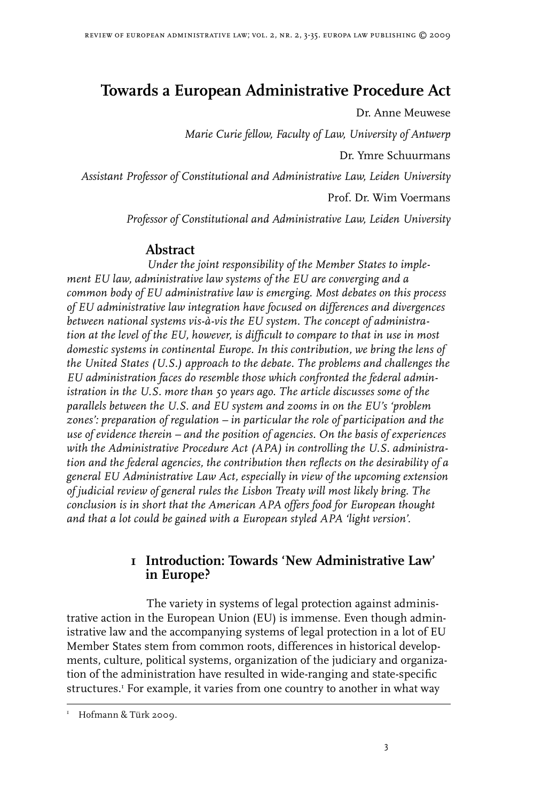# **Towards a European Administrative Procedure Act**

Dr. Anne Meuwese

*Marie Curie fellow, Faculty of Law, University of Antwerp*

Dr. Ymre Schuurmans

*Assistant Professor of Constitutional and Administrative Law, Leiden University*

Prof. Dr. Wim Voermans

*Professor of Constitutional and Administrative Law, Leiden University*

# **Abstract**

*Under the joint responsibility of the Member States to implement EU law, administrative law systems of the EU are converging and a common body of EU administrative law is emerging. Most debates on this process of EU administrative law integration have focused on differences and divergences between national systems vis-à-vis the EU system. The concept of administration at the level of the EU, however, is difficult to compare to that in use in most domestic systems in continental Europe. In this contribution, we bring the lens of the United States (U.S.) approach to the debate. The problems and challenges the EU administration faces do resemble those which confronted the federal administration in the U.S. more than 50 years ago. The article discusses some of the parallels between the U.S. and EU system and zooms in on the EU's 'problem zones': preparation of regulation – in particular the role of participation and the use of evidence therein – and the position of agencies. On the basis of experiences with the Administrative Procedure Act (APA) in controlling the U.S. administration and the federal agencies, the contribution then reflects on the desirability of a general EU Administrative Law Act, especially in view of the upcoming extension of judicial review of general rules the Lisbon Treaty will most likely bring. The conclusion is in short that the American APA offers food for European thought and that a lot could be gained with a European styled APA 'light version'.*

# **1 Introduction: Towards 'New Administrative Law' in Europe?**

The variety in systems of legal protection against administrative action in the European Union (EU) is immense. Even though administrative law and the accompanying systems of legal protection in a lot of EU Member States stem from common roots, differences in historical developments, culture, political systems, organization of the judiciary and organization of the administration have resulted in wide-ranging and state-specific structures. For example, it varies from one country to another in what way

 Hofmann & Türk 2009.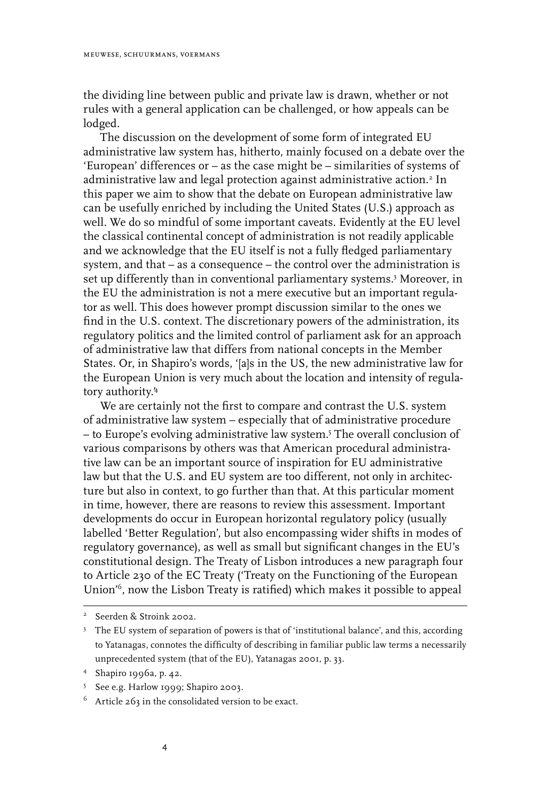the dividing line between public and private law is drawn, whether or not rules with a general application can be challenged, or how appeals can be lodged.

The discussion on the development of some form of integrated EU administrative law system has, hitherto, mainly focused on a debate over the 'European' differences or – as the case might be – similarities of systems of administrative law and legal protection against administrative action.<sup>2</sup> In this paper we aim to show that the debate on European administrative law can be usefully enriched by including the United States (U.S.) approach as well. We do so mindful of some important caveats. Evidently at the EU level the classical continental concept of administration is not readily applicable and we acknowledge that the EU itself is not a fully fledged parliamentary system, and that – as a consequence – the control over the administration is set up differently than in conventional parliamentary systems. Moreover, in the EU the administration is not a mere executive but an important regulator as well. This does however prompt discussion similar to the ones we find in the U.S. context. The discretionary powers of the administration, its regulatory politics and the limited control of parliament ask for an approach of administrative law that differs from national concepts in the Member States. Or, in Shapiro's words, '[a]s in the US, the new administrative law for the European Union is very much about the location and intensity of regulatory authority.'

We are certainly not the first to compare and contrast the U.S. system of administrative law system – especially that of administrative procedure – to Europe's evolving administrative law system. The overall conclusion of various comparisons by others was that American procedural administrative law can be an important source of inspiration for EU administrative law but that the U.S. and EU system are too different, not only in architecture but also in context, to go further than that. At this particular moment in time, however, there are reasons to review this assessment. Important developments do occur in European horizontal regulatory policy (usually labelled 'Better Regulation', but also encompassing wider shifts in modes of regulatory governance), as well as small but significant changes in the EU's constitutional design. The Treaty of Lisbon introduces a new paragraph four to Article 230 of the EC Treaty ('Treaty on the Functioning of the European Union'<sup>6</sup>, now the Lisbon Treaty is ratified) which makes it possible to appeal

<sup>&</sup>lt;sup>2</sup> Seerden & Stroink 2002.

<sup>&</sup>lt;sup>3</sup> The EU system of separation of powers is that of 'institutional balance', and this, according to Yatanagas, connotes the difficulty of describing in familiar public law terms a necessarily unprecedented system (that of the EU), Yatanagas 2001, p. 33.

 Shapiro 1996a, p. 42.

<sup>5</sup> See e.g. Harlow 1999; Shapiro 2003.

 $6$  Article 263 in the consolidated version to be exact.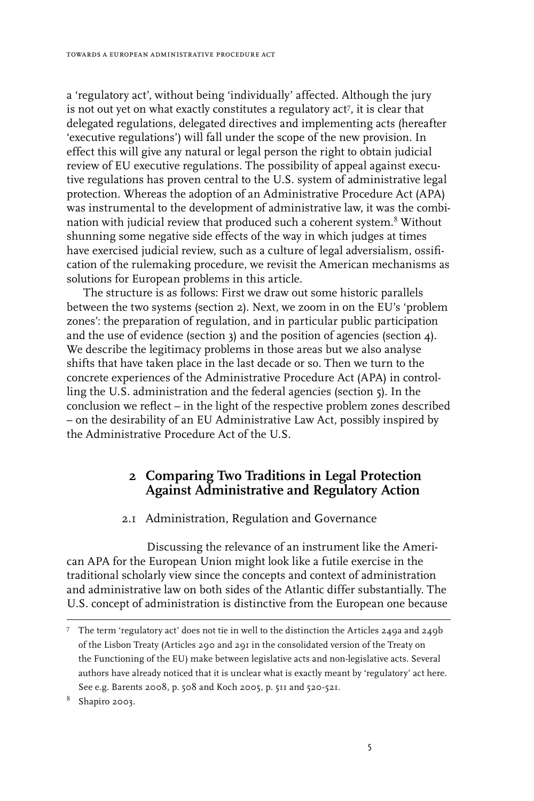a 'regulatory act', without being 'individually' affected. Although the jury is not out yet on what exactly constitutes a regulatory act , it is clear that delegated regulations, delegated directives and implementing acts (hereafter 'executive regulations') will fall under the scope of the new provision. In effect this will give any natural or legal person the right to obtain judicial review of EU executive regulations. The possibility of appeal against executive regulations has proven central to the U.S. system of administrative legal protection. Whereas the adoption of an Administrative Procedure Act (APA) was instrumental to the development of administrative law, it was the combination with judicial review that produced such a coherent system.<sup>8</sup> Without shunning some negative side effects of the way in which judges at times have exercised judicial review, such as a culture of legal adversialism, ossification of the rulemaking procedure, we revisit the American mechanisms as solutions for European problems in this article.

The structure is as follows: First we draw out some historic parallels between the two systems (section 2). Next, we zoom in on the EU's 'problem zones': the preparation of regulation, and in particular public participation and the use of evidence (section  $\alpha$ ) and the position of agencies (section  $\alpha$ ). We describe the legitimacy problems in those areas but we also analyse shifts that have taken place in the last decade or so. Then we turn to the concrete experiences of the Administrative Procedure Act (APA) in controlling the U.S. administration and the federal agencies (section 5). In the conclusion we reflect – in the light of the respective problem zones described – on the desirability of an EU Administrative Law Act, possibly inspired by the Administrative Procedure Act of the U.S.

## **2 Comparing Two Traditions in Legal Protection Against Administrative and Regulatory Action**

#### 2.1 Administration, Regulation and Governance

Discussing the relevance of an instrument like the American APA for the European Union might look like a futile exercise in the traditional scholarly view since the concepts and context of administration and administrative law on both sides of the Atlantic differ substantially. The U.S. concept of administration is distinctive from the European one because

 $7$  The term 'regulatory act' does not tie in well to the distinction the Articles 249a and 249b of the Lisbon Treaty (Articles 290 and 291 in the consolidated version of the Treaty on the Functioning of the EU) make between legislative acts and non-legislative acts. Several authors have already noticed that it is unclear what is exactly meant by 'regulatory' act here. See e.g. Barents 2008, p. 508 and Koch 2005, p. 511 and 520-521.

 $8$  Shapiro 2003.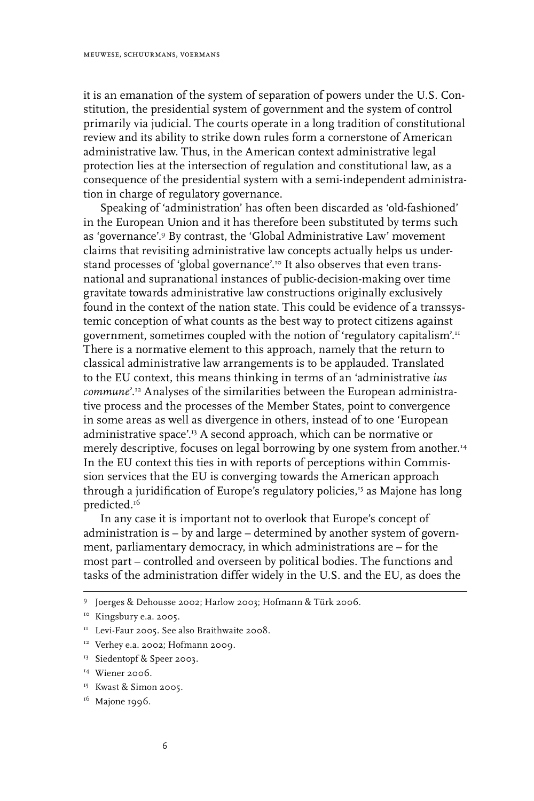it is an emanation of the system of separation of powers under the U.S. Constitution, the presidential system of government and the system of control primarily via judicial. The courts operate in a long tradition of constitutional review and its ability to strike down rules form a cornerstone of American administrative law. Thus, in the American context administrative legal protection lies at the intersection of regulation and constitutional law, as a consequence of the presidential system with a semi-independent administration in charge of regulatory governance.

Speaking of 'administration' has often been discarded as 'old-fashioned' in the European Union and it has therefore been substituted by terms such as 'governance'.<sup>9</sup> By contrast, the 'Global Administrative Law' movement claims that revisiting administrative law concepts actually helps us understand processes of 'global governance'.<sup>10</sup> It also observes that even transnational and supranational instances of public-decision-making over time gravitate towards administrative law constructions originally exclusively found in the context of the nation state. This could be evidence of a transsystemic conception of what counts as the best way to protect citizens against government, sometimes coupled with the notion of 'regulatory capitalism'.11 There is a normative element to this approach, namely that the return to classical administrative law arrangements is to be applauded. Translated to the EU context, this means thinking in terms of an 'administrative *ius commune*'.12 Analyses of the similarities between the European administrative process and the processes of the Member States, point to convergence in some areas as well as divergence in others, instead of to one 'European administrative space'.13 A second approach, which can be normative or merely descriptive, focuses on legal borrowing by one system from another.<sup>14</sup> In the EU context this ties in with reports of perceptions within Commission services that the EU is converging towards the American approach through a juridification of Europe's regulatory policies,<sup>15</sup> as Majone has long predicted.<sup>16</sup>

In any case it is important not to overlook that Europe's concept of administration is – by and large – determined by another system of government, parliamentary democracy, in which administrations are – for the most part – controlled and overseen by political bodies. The functions and tasks of the administration differ widely in the U.S. and the EU, as does the

15 Kwast & Simon 2005.

<sup>&</sup>lt;sup>9</sup> Joerges & Dehousse 2002; Harlow 2003; Hofmann & Türk 2006.

<sup>&</sup>lt;sup>10</sup> Kingsbury e.a. 2005.

<sup>&</sup>lt;sup>11</sup> Levi-Faur 2005. See also Braithwaite 2008.

<sup>&</sup>lt;sup>12</sup> Verhey e.a. 2002; Hofmann 2009.

<sup>&</sup>lt;sup>13</sup> Siedentopf & Speer 2003.

<sup>&</sup>lt;sup>14</sup> Wiener 2006.

 $16$  Majone 1996.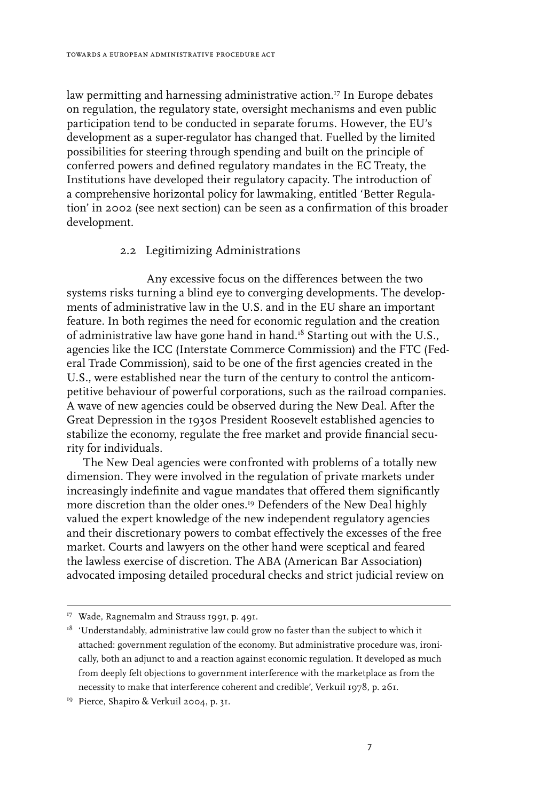law permitting and harnessing administrative action.<sup>17</sup> In Europe debates on regulation, the regulatory state, oversight mechanisms and even public participation tend to be conducted in separate forums. However, the EU's development as a super-regulator has changed that. Fuelled by the limited possibilities for steering through spending and built on the principle of conferred powers and defined regulatory mandates in the EC Treaty, the Institutions have developed their regulatory capacity. The introduction of a comprehensive horizontal policy for lawmaking, entitled 'Better Regulation' in 2002 (see next section) can be seen as a confirmation of this broader development.

#### 2.2 Legitimizing Administrations

Any excessive focus on the differences between the two systems risks turning a blind eye to converging developments. The developments of administrative law in the U.S. and in the EU share an important feature. In both regimes the need for economic regulation and the creation of administrative law have gone hand in hand.<sup>18</sup> Starting out with the U.S., agencies like the ICC (Interstate Commerce Commission) and the FTC (Federal Trade Commission), said to be one of the first agencies created in the U.S., were established near the turn of the century to control the anticompetitive behaviour of powerful corporations, such as the railroad companies. A wave of new agencies could be observed during the New Deal. After the Great Depression in the 1930s President Roosevelt established agencies to stabilize the economy, regulate the free market and provide financial security for individuals.

The New Deal agencies were confronted with problems of a totally new dimension. They were involved in the regulation of private markets under increasingly indefinite and vague mandates that offered them significantly more discretion than the older ones.<sup>19</sup> Defenders of the New Deal highly valued the expert knowledge of the new independent regulatory agencies and their discretionary powers to combat effectively the excesses of the free market. Courts and lawyers on the other hand were sceptical and feared the lawless exercise of discretion. The ABA (American Bar Association) advocated imposing detailed procedural checks and strict judicial review on

<sup>&</sup>lt;sup>17</sup> Wade, Ragnemalm and Strauss 1991, p. 491.

 $18$  'Understandably, administrative law could grow no faster than the subject to which it attached: government regulation of the economy. But administrative procedure was, ironically, both an adjunct to and a reaction against economic regulation. It developed as much from deeply felt objections to government interference with the marketplace as from the necessity to make that interference coherent and credible', Verkuil 1978, p. 261.

<sup>&</sup>lt;sup>19</sup> Pierce, Shapiro & Verkuil 2004, p. 31.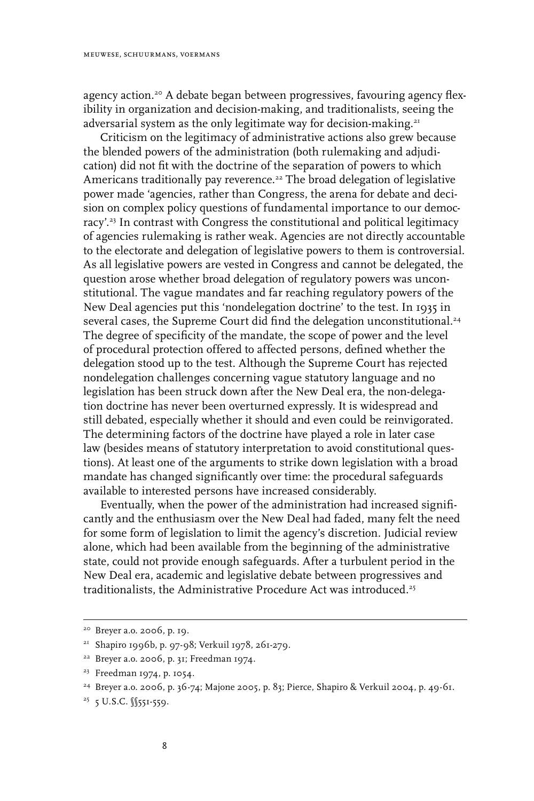agency action.<sup>20</sup> A debate began between progressives, favouring agency flexibility in organization and decision-making, and traditionalists, seeing the adversarial system as the only legitimate way for decision-making.<sup>21</sup>

Criticism on the legitimacy of administrative actions also grew because the blended powers of the administration (both rulemaking and adjudication) did not fit with the doctrine of the separation of powers to which Americans traditionally pay reverence.<sup>22</sup> The broad delegation of legislative power made 'agencies, rather than Congress, the arena for debate and decision on complex policy questions of fundamental importance to our democracy'.23 In contrast with Congress the constitutional and political legitimacy of agencies rulemaking is rather weak. Agencies are not directly accountable to the electorate and delegation of legislative powers to them is controversial. As all legislative powers are vested in Congress and cannot be delegated, the question arose whether broad delegation of regulatory powers was unconstitutional. The vague mandates and far reaching regulatory powers of the New Deal agencies put this 'nondelegation doctrine' to the test. In 1935 in several cases, the Supreme Court did find the delegation unconstitutional.<sup>24</sup> The degree of specificity of the mandate, the scope of power and the level of procedural protection offered to affected persons, defined whether the delegation stood up to the test. Although the Supreme Court has rejected nondelegation challenges concerning vague statutory language and no legislation has been struck down after the New Deal era, the non-delegation doctrine has never been overturned expressly. It is widespread and still debated, especially whether it should and even could be reinvigorated. The determining factors of the doctrine have played a role in later case law (besides means of statutory interpretation to avoid constitutional questions). At least one of the arguments to strike down legislation with a broad mandate has changed significantly over time: the procedural safeguards available to interested persons have increased considerably.

Eventually, when the power of the administration had increased significantly and the enthusiasm over the New Deal had faded, many felt the need for some form of legislation to limit the agency's discretion. Judicial review alone, which had been available from the beginning of the administrative state, could not provide enough safeguards. After a turbulent period in the New Deal era, academic and legislative debate between progressives and traditionalists, the Administrative Procedure Act was introduced.<sup>25</sup>

<sup>20</sup> Breyer a.o. 2006, p. 19.

<sup>21</sup> Shapiro 1996b, p. 97-98; Verkuil 1978, 261-279.

 $22$  Breyer a.o. 2006, p. 31; Freedman 1974.

<sup>23</sup> Freedman 1974, p. 1054.

<sup>24</sup> Breyer a.o. 2006, p. 36-74; Majone 2005, p. 83; Pierce, Shapiro & Verkuil 2004, p. 49-61.

<sup>&</sup>lt;sup>25</sup> 5 U.S.C. <u>∬55</u>1-559.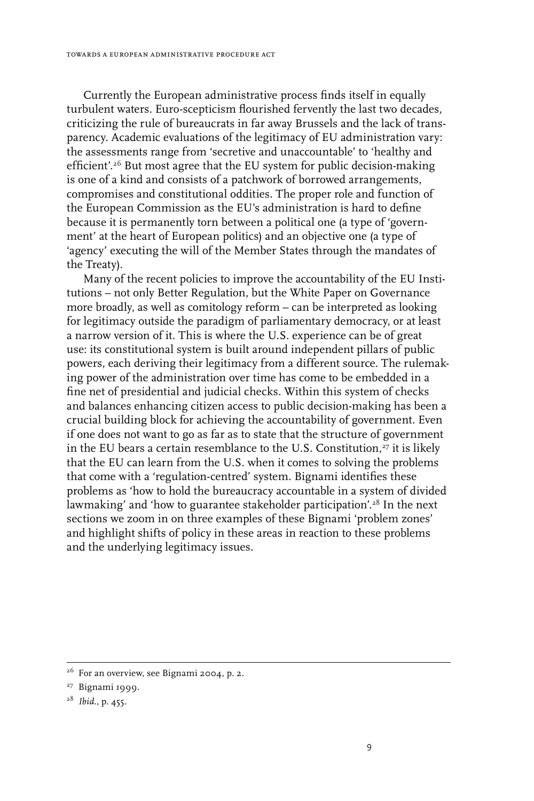Currently the European administrative process finds itself in equally turbulent waters. Euro-scepticism flourished fervently the last two decades, criticizing the rule of bureaucrats in far away Brussels and the lack of transparency. Academic evaluations of the legitimacy of EU administration vary: the assessments range from 'secretive and unaccountable' to 'healthy and efficient'.26 But most agree that the EU system for public decision-making is one of a kind and consists of a patchwork of borrowed arrangements, compromises and constitutional oddities. The proper role and function of the European Commission as the EU's administration is hard to define because it is permanently torn between a political one (a type of 'government' at the heart of European politics) and an objective one (a type of 'agency' executing the will of the Member States through the mandates of the Treaty).

Many of the recent policies to improve the accountability of the EU Institutions – not only Better Regulation, but the White Paper on Governance more broadly, as well as comitology reform – can be interpreted as looking for legitimacy outside the paradigm of parliamentary democracy, or at least a narrow version of it. This is where the U.S. experience can be of great use: its constitutional system is built around independent pillars of public powers, each deriving their legitimacy from a different source. The rulemaking power of the administration over time has come to be embedded in a fine net of presidential and judicial checks. Within this system of checks and balances enhancing citizen access to public decision-making has been a crucial building block for achieving the accountability of government. Even if one does not want to go as far as to state that the structure of government in the EU bears a certain resemblance to the U.S. Constitution, $^{27}$  it is likely that the EU can learn from the U.S. when it comes to solving the problems that come with a 'regulation-centred' system. Bignami identifies these problems as 'how to hold the bureaucracy accountable in a system of divided lawmaking' and 'how to guarantee stakeholder participation'.<sup>28</sup> In the next sections we zoom in on three examples of these Bignami 'problem zones' and highlight shifts of policy in these areas in reaction to these problems and the underlying legitimacy issues.

 $26$  For an overview, see Bignami 2004, p. 2.

<sup>&</sup>lt;sup>27</sup> Bignami 1999.

<sup>28</sup> *Ibid*., p. 455.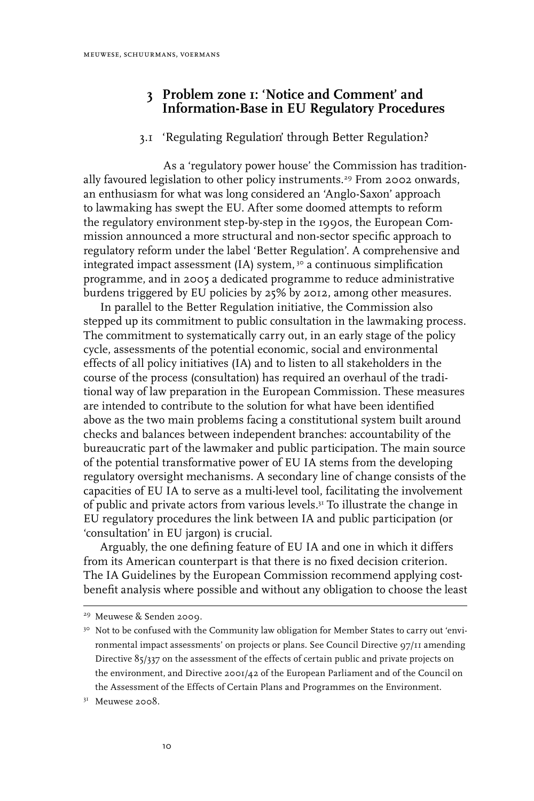## **3 Problem zone 1: 'Notice and Comment' and Information-Base in EU Regulatory Procedures**

#### 3.1 'Regulating Regulation' through Better Regulation?

As a 'regulatory power house' the Commission has traditionally favoured legislation to other policy instruments.<sup>29</sup> From 2002 onwards, an enthusiasm for what was long considered an 'Anglo-Saxon' approach to lawmaking has swept the EU. After some doomed attempts to reform the regulatory environment step-by-step in the 1990s, the European Commission announced a more structural and non-sector specific approach to regulatory reform under the label 'Better Regulation'. A comprehensive and integrated impact assessment (IA) system, 30 a continuous simplification programme, and in 2005 a dedicated programme to reduce administrative burdens triggered by EU policies by 25% by 2012, among other measures.

In parallel to the Better Regulation initiative, the Commission also stepped up its commitment to public consultation in the lawmaking process. The commitment to systematically carry out, in an early stage of the policy cycle, assessments of the potential economic, social and environmental effects of all policy initiatives (IA) and to listen to all stakeholders in the course of the process (consultation) has required an overhaul of the traditional way of law preparation in the European Commission. These measures are intended to contribute to the solution for what have been identified above as the two main problems facing a constitutional system built around checks and balances between independent branches: accountability of the bureaucratic part of the lawmaker and public participation. The main source of the potential transformative power of EU IA stems from the developing regulatory oversight mechanisms. A secondary line of change consists of the capacities of EU IA to serve as a multi-level tool, facilitating the involvement of public and private actors from various levels.31 To illustrate the change in EU regulatory procedures the link between IA and public participation (or 'consultation' in EU jargon) is crucial.

Arguably, the one defining feature of EU IA and one in which it differs from its American counterpart is that there is no fixed decision criterion. The IA Guidelines by the European Commission recommend applying costbenefit analysis where possible and without any obligation to choose the least

<sup>29</sup> Meuwese & Senden 2009.

<sup>&</sup>lt;sup>30</sup> Not to be confused with the Community law obligation for Member States to carry out 'environmental impact assessments' on projects or plans. See Council Directive 97/11 amending Directive 85/337 on the assessment of the effects of certain public and private projects on the environment, and Directive 2001/42 of the European Parliament and of the Council on the Assessment of the Effects of Certain Plans and Programmes on the Environment.

<sup>&</sup>lt;sup>31</sup> Meuwese 2008.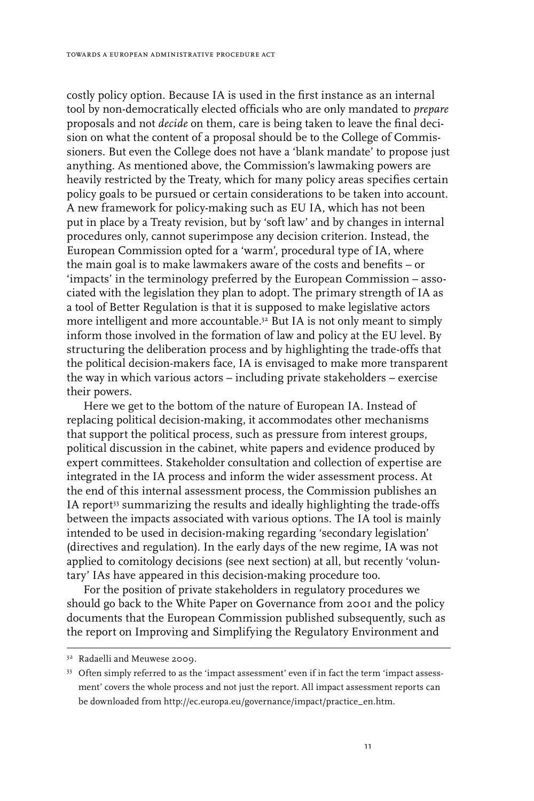costly policy option. Because IA is used in the first instance as an internal tool by non-democratically elected officials who are only mandated to *prepare* proposals and not *decide* on them, care is being taken to leave the final decision on what the content of a proposal should be to the College of Commissioners. But even the College does not have a 'blank mandate' to propose just anything. As mentioned above, the Commission's lawmaking powers are heavily restricted by the Treaty, which for many policy areas specifies certain policy goals to be pursued or certain considerations to be taken into account. A new framework for policy-making such as EU IA, which has not been put in place by a Treaty revision, but by 'soft law' and by changes in internal procedures only, cannot superimpose any decision criterion. Instead, the European Commission opted for a 'warm', procedural type of IA, where the main goal is to make lawmakers aware of the costs and benefits – or 'impacts' in the terminology preferred by the European Commission – associated with the legislation they plan to adopt. The primary strength of IA as a tool of Better Regulation is that it is supposed to make legislative actors more intelligent and more accountable.32 But IA is not only meant to simply inform those involved in the formation of law and policy at the EU level. By structuring the deliberation process and by highlighting the trade-offs that the political decision-makers face, IA is envisaged to make more transparent the way in which various actors – including private stakeholders – exercise their powers.

Here we get to the bottom of the nature of European IA. Instead of replacing political decision-making, it accommodates other mechanisms that support the political process, such as pressure from interest groups, political discussion in the cabinet, white papers and evidence produced by expert committees. Stakeholder consultation and collection of expertise are integrated in the IA process and inform the wider assessment process. At the end of this internal assessment process, the Commission publishes an IA report<sup>33</sup> summarizing the results and ideally highlighting the trade-offs between the impacts associated with various options. The IA tool is mainly intended to be used in decision-making regarding 'secondary legislation' (directives and regulation). In the early days of the new regime, IA was not applied to comitology decisions (see next section) at all, but recently 'voluntary' IAs have appeared in this decision-making procedure too.

For the position of private stakeholders in regulatory procedures we should go back to the White Paper on Governance from 2001 and the policy documents that the European Commission published subsequently, such as the report on Improving and Simplifying the Regulatory Environment and

<sup>&</sup>lt;sup>32</sup> Radaelli and Meuwese 2009.

<sup>33</sup> Often simply referred to as the 'impact assessment' even if in fact the term 'impact assessment' covers the whole process and not just the report. All impact assessment reports can be downloaded from http://ec.europa.eu/governance/impact/practice\_en.htm.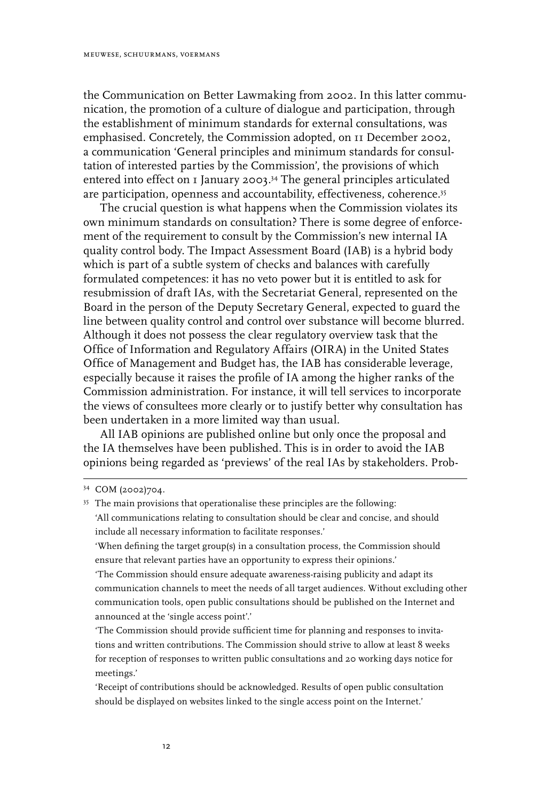the Communication on Better Lawmaking from 2002. In this latter communication, the promotion of a culture of dialogue and participation, through the establishment of minimum standards for external consultations, was emphasised. Concretely, the Commission adopted, on 11 December 2002, a communication 'General principles and minimum standards for consultation of interested parties by the Commission', the provisions of which entered into effect on 1 January 2003. 34 The general principles articulated are participation, openness and accountability, effectiveness, coherence.<sup>35</sup>

The crucial question is what happens when the Commission violates its own minimum standards on consultation? There is some degree of enforcement of the requirement to consult by the Commission's new internal IA quality control body. The Impact Assessment Board (IAB) is a hybrid body which is part of a subtle system of checks and balances with carefully formulated competences: it has no veto power but it is entitled to ask for resubmission of draft IAs, with the Secretariat General, represented on the Board in the person of the Deputy Secretary General, expected to guard the line between quality control and control over substance will become blurred. Although it does not possess the clear regulatory overview task that the Office of Information and Regulatory Affairs (OIRA) in the United States Office of Management and Budget has, the IAB has considerable leverage, especially because it raises the profile of IA among the higher ranks of the Commission administration. For instance, it will tell services to incorporate the views of consultees more clearly or to justify better why consultation has been undertaken in a more limited way than usual.

All IAB opinions are published online but only once the proposal and the IA themselves have been published. This is in order to avoid the IAB opinions being regarded as 'previews' of the real IAs by stakeholders. Prob-

'The Commission should ensure adequate awareness-raising publicity and adapt its communication channels to meet the needs of all target audiences. Without excluding other communication tools, open public consultations should be published on the Internet and announced at the 'single access point'.'

'The Commission should provide sufficient time for planning and responses to invitations and written contributions. The Commission should strive to allow at least 8 weeks for reception of responses to written public consultations and 20 working days notice for meetings.'

'Receipt of contributions should be acknowledged. Results of open public consultation should be displayed on websites linked to the single access point on the Internet.'

<sup>34</sup> COM (2002)704.

<sup>&</sup>lt;sup>35</sup> The main provisions that operationalise these principles are the following: 'All communications relating to consultation should be clear and concise, and should include all necessary information to facilitate responses.'

<sup>&#</sup>x27;When defining the target group(s) in a consultation process, the Commission should ensure that relevant parties have an opportunity to express their opinions.'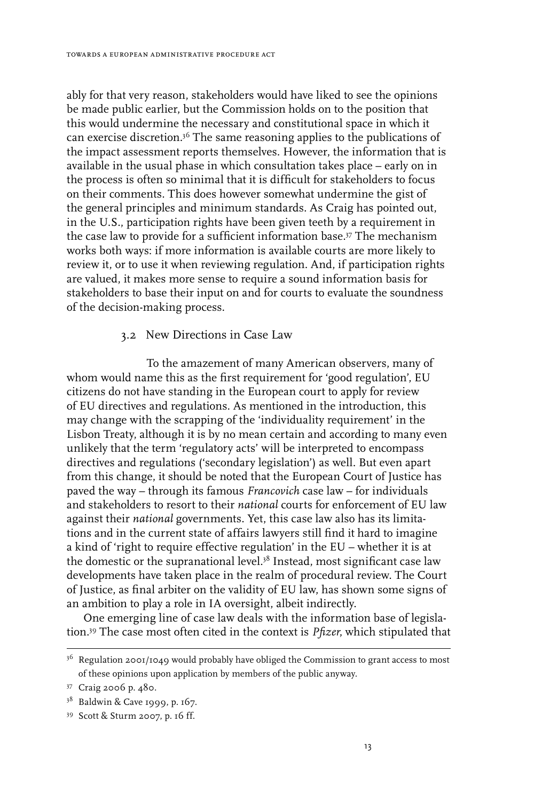ably for that very reason, stakeholders would have liked to see the opinions be made public earlier, but the Commission holds on to the position that this would undermine the necessary and constitutional space in which it can exercise discretion.36 The same reasoning applies to the publications of the impact assessment reports themselves. However, the information that is available in the usual phase in which consultation takes place – early on in the process is often so minimal that it is difficult for stakeholders to focus on their comments. This does however somewhat undermine the gist of the general principles and minimum standards. As Craig has pointed out, in the U.S., participation rights have been given teeth by a requirement in the case law to provide for a sufficient information base.37 The mechanism works both ways: if more information is available courts are more likely to review it, or to use it when reviewing regulation. And, if participation rights are valued, it makes more sense to require a sound information basis for stakeholders to base their input on and for courts to evaluate the soundness of the decision-making process.

#### 3.2 New Directions in Case Law

To the amazement of many American observers, many of whom would name this as the first requirement for 'good regulation', EU citizens do not have standing in the European court to apply for review of EU directives and regulations. As mentioned in the introduction, this may change with the scrapping of the 'individuality requirement' in the Lisbon Treaty, although it is by no mean certain and according to many even unlikely that the term 'regulatory acts' will be interpreted to encompass directives and regulations ('secondary legislation') as well. But even apart from this change, it should be noted that the European Court of Justice has paved the way – through its famous *Francovich* case law – for individuals and stakeholders to resort to their *national* courts for enforcement of EU law against their *national* governments. Yet, this case law also has its limitations and in the current state of affairs lawyers still find it hard to imagine a kind of 'right to require effective regulation' in the EU – whether it is at the domestic or the supranational level.<sup>38</sup> Instead, most significant case law developments have taken place in the realm of procedural review. The Court of Justice, as final arbiter on the validity of EU law, has shown some signs of an ambition to play a role in IA oversight, albeit indirectly.

One emerging line of case law deals with the information base of legislation.39 The case most often cited in the context is *Pfizer*, which stipulated that

 $36$  Regulation 2001/1049 would probably have obliged the Commission to grant access to most of these opinions upon application by members of the public anyway.

<sup>37</sup> Craig 2006 p. 480.

<sup>38</sup> Baldwin & Cave 1999, p. 167.

<sup>39</sup> Scott & Sturm 2007, p. 16 ff.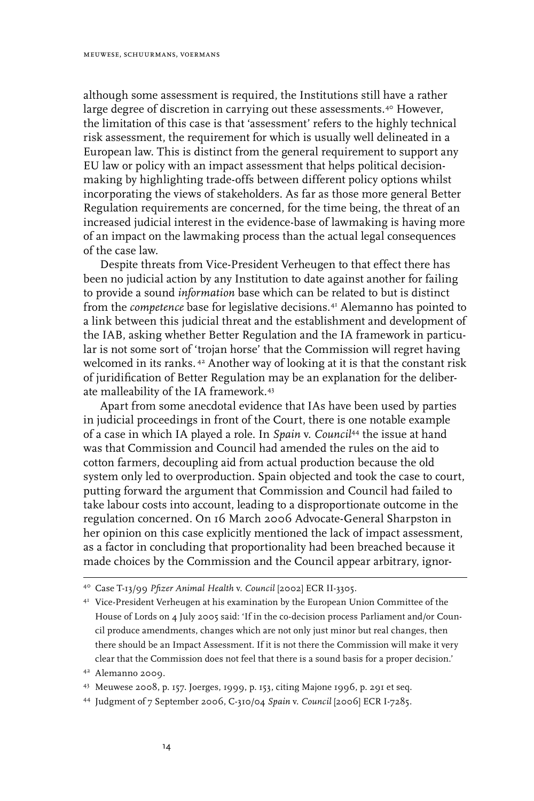although some assessment is required, the Institutions still have a rather large degree of discretion in carrying out these assessments.<sup>40</sup> However, the limitation of this case is that 'assessment' refers to the highly technical risk assessment, the requirement for which is usually well delineated in a European law. This is distinct from the general requirement to support any EU law or policy with an impact assessment that helps political decisionmaking by highlighting trade-offs between different policy options whilst incorporating the views of stakeholders. As far as those more general Better Regulation requirements are concerned, for the time being, the threat of an increased judicial interest in the evidence-base of lawmaking is having more of an impact on the lawmaking process than the actual legal consequences of the case law.

Despite threats from Vice-President Verheugen to that effect there has been no judicial action by any Institution to date against another for failing to provide a sound *information* base which can be related to but is distinct from the *competence* base for legislative decisions.41 Alemanno has pointed to a link between this judicial threat and the establishment and development of the IAB, asking whether Better Regulation and the IA framework in particular is not some sort of 'trojan horse' that the Commission will regret having welcomed in its ranks. <sup>42</sup> Another way of looking at it is that the constant risk of juridification of Better Regulation may be an explanation for the deliberate malleability of the IA framework.43

Apart from some anecdotal evidence that IAs have been used by parties in judicial proceedings in front of the Court, there is one notable example of a case in which IA played a role. In *Spain* v. *Council*44 the issue at hand was that Commission and Council had amended the rules on the aid to cotton farmers, decoupling aid from actual production because the old system only led to overproduction. Spain objected and took the case to court, putting forward the argument that Commission and Council had failed to take labour costs into account, leading to a disproportionate outcome in the regulation concerned. On 16 March 2006 Advocate-General Sharpston in her opinion on this case explicitly mentioned the lack of impact assessment, as a factor in concluding that proportionality had been breached because it made choices by the Commission and the Council appear arbitrary, ignor-

43 Meuwese 2008, p. 157. Joerges, 1999, p. 153, citing Majone 1996, p. 291 et seq.

<sup>40</sup> Case T-13/99 *Pfizer Animal Health* v. *Council* [2002] ECR II-3305.

<sup>&</sup>lt;sup>41</sup> Vice-President Verheugen at his examination by the European Union Committee of the House of Lords on 4 July 2005 said: 'If in the co-decision process Parliament and/or Council produce amendments, changes which are not only just minor but real changes, then there should be an Impact Assessment. If it is not there the Commission will make it very clear that the Commission does not feel that there is a sound basis for a proper decision.'

<sup>42</sup> Alemanno 2009.

<sup>44</sup> Judgment of 7 September 2006, C-310/04 *Spain* v. *Council* [2006] ECR I-7285.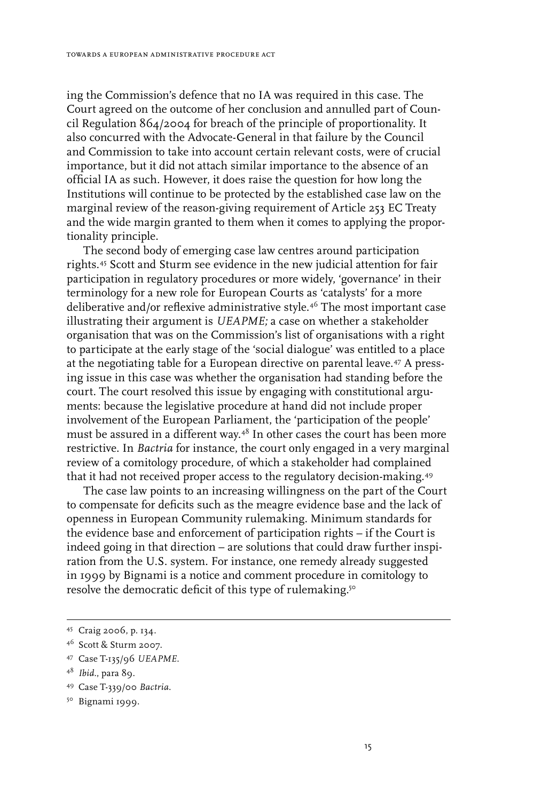ing the Commission's defence that no IA was required in this case. The Court agreed on the outcome of her conclusion and annulled part of Council Regulation 864/2004 for breach of the principle of proportionality. It also concurred with the Advocate-General in that failure by the Council and Commission to take into account certain relevant costs, were of crucial importance, but it did not attach similar importance to the absence of an official IA as such. However, it does raise the question for how long the Institutions will continue to be protected by the established case law on the marginal review of the reason-giving requirement of Article 253 EC Treaty and the wide margin granted to them when it comes to applying the proportionality principle.

The second body of emerging case law centres around participation rights.45 Scott and Sturm see evidence in the new judicial attention for fair participation in regulatory procedures or more widely, 'governance' in their terminology for a new role for European Courts as 'catalysts' for a more deliberative and/or reflexive administrative style.<sup>46</sup> The most important case illustrating their argument is *UEAPME;* a case on whether a stakeholder organisation that was on the Commission's list of organisations with a right to participate at the early stage of the 'social dialogue' was entitled to a place at the negotiating table for a European directive on parental leave.<sup>47</sup> A pressing issue in this case was whether the organisation had standing before the court. The court resolved this issue by engaging with constitutional arguments: because the legislative procedure at hand did not include proper involvement of the European Parliament, the 'participation of the people' must be assured in a different way.48 In other cases the court has been more restrictive. In *Bactria* for instance, the court only engaged in a very marginal review of a comitology procedure, of which a stakeholder had complained that it had not received proper access to the regulatory decision-making.49

The case law points to an increasing willingness on the part of the Court to compensate for deficits such as the meagre evidence base and the lack of openness in European Community rulemaking. Minimum standards for the evidence base and enforcement of participation rights – if the Court is indeed going in that direction – are solutions that could draw further inspiration from the U.S. system. For instance, one remedy already suggested in 1999 by Bignami is a notice and comment procedure in comitology to resolve the democratic deficit of this type of rulemaking.<sup>50</sup>

49 Case T-339/00 *Bactria*.

<sup>45</sup> Craig 2006, p. 134.

<sup>46</sup> Scott & Sturm 2007.

<sup>47</sup> Case T-135/96 *UEAPME*.

<sup>48</sup> *Ibid.*, para 89.

<sup>50</sup> Bignami 1999.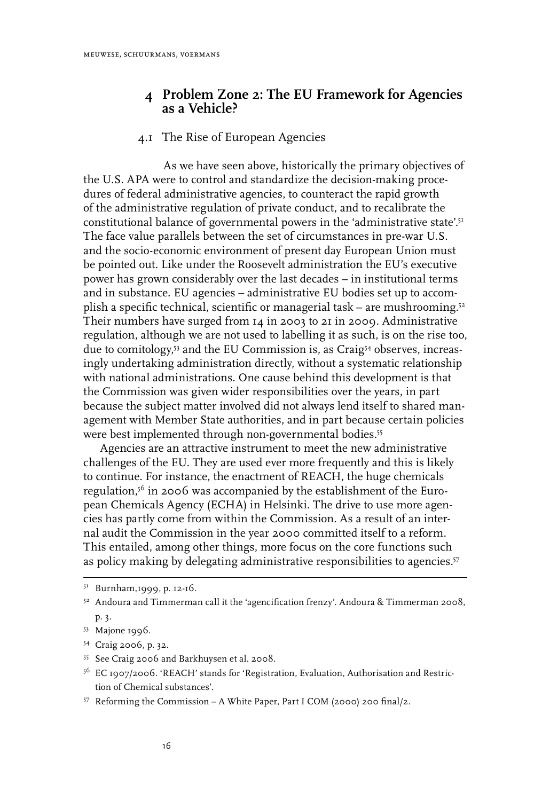#### **4 Problem Zone 2: The EU Framework for Agencies as a Vehicle?**

#### 4.1 The Rise of European Agencies

As we have seen above, historically the primary objectives of the U.S. APA were to control and standardize the decision-making procedures of federal administrative agencies, to counteract the rapid growth of the administrative regulation of private conduct, and to recalibrate the constitutional balance of governmental powers in the 'administrative state'.<sup>51</sup> The face value parallels between the set of circumstances in pre-war U.S. and the socio-economic environment of present day European Union must be pointed out. Like under the Roosevelt administration the EU's executive power has grown considerably over the last decades – in institutional terms and in substance. EU agencies – administrative EU bodies set up to accomplish a specific technical, scientific or managerial task – are mushrooming.52 Their numbers have surged from 14 in 2003 to 21 in 2009. Administrative regulation, although we are not used to labelling it as such, is on the rise too, due to comitology,<sup>53</sup> and the EU Commission is, as Craig<sup>54</sup> observes, increasingly undertaking administration directly, without a systematic relationship with national administrations. One cause behind this development is that the Commission was given wider responsibilities over the years, in part because the subject matter involved did not always lend itself to shared management with Member State authorities, and in part because certain policies were best implemented through non-governmental bodies.<sup>55</sup>

Agencies are an attractive instrument to meet the new administrative challenges of the EU. They are used ever more frequently and this is likely to continue. For instance, the enactment of REACH, the huge chemicals regulation,56 in 2006 was accompanied by the establishment of the European Chemicals Agency (ECHA) in Helsinki. The drive to use more agencies has partly come from within the Commission. As a result of an internal audit the Commission in the year 2000 committed itself to a reform. This entailed, among other things, more focus on the core functions such as policy making by delegating administrative responsibilities to agencies.<sup>57</sup>

<sup>51</sup> Burnham,1999, p. 12-16.

<sup>52</sup> Andoura and Timmerman call it the 'agencification frenzy'. Andoura & Timmerman 2008, p. 3.

<sup>53</sup> Majone 1996.

<sup>54</sup> Craig 2006, p. 32.

<sup>55</sup> See Craig 2006 and Barkhuysen et al. 2008.

<sup>56</sup> EC 1907/2006. 'REACH' stands for 'Registration, Evaluation, Authorisation and Restriction of Chemical substances'.

<sup>57</sup> Reforming the Commission – A White Paper, Part I COM (2000) 200 final/2.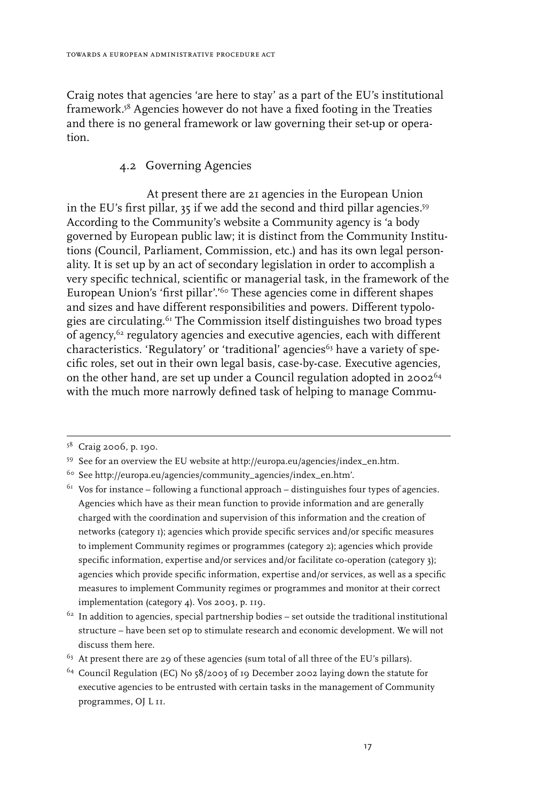Craig notes that agencies 'are here to stay' as a part of the EU's institutional framework.58 Agencies however do not have a fixed footing in the Treaties and there is no general framework or law governing their set-up or operation.

#### 4.2 Governing Agencies

At present there are 21 agencies in the European Union in the EU's first pillar, 35 if we add the second and third pillar agencies.59 According to the Community's website a Community agency is 'a body governed by European public law; it is distinct from the Community Institutions (Council, Parliament, Commission, etc.) and has its own legal personality. It is set up by an act of secondary legislation in order to accomplish a very specific technical, scientific or managerial task, in the framework of the European Union's 'first pillar'.<sup>'60</sup> These agencies come in different shapes and sizes and have different responsibilities and powers. Different typologies are circulating.<sup>61</sup> The Commission itself distinguishes two broad types of agency,<sup>62</sup> regulatory agencies and executive agencies, each with different characteristics. 'Regulatory' or 'traditional' agencies<sup>63</sup> have a variety of specific roles, set out in their own legal basis, case-by-case. Executive agencies, on the other hand, are set up under a Council regulation adopted in 200264 with the much more narrowly defined task of helping to manage Commu-

<sup>58</sup> Craig 2006, p. 190.

<sup>59</sup> See for an overview the EU website at http://europa.eu/agencies/index\_en.htm.

<sup>60</sup> See http://europa.eu/agencies/community\_agencies/index\_en.htm'.

 $61$  Vos for instance – following a functional approach – distinguishes four types of agencies. Agencies which have as their mean function to provide information and are generally charged with the coordination and supervision of this information and the creation of networks (category 1); agencies which provide specific services and/or specific measures to implement Community regimes or programmes (category 2); agencies which provide specific information, expertise and/or services and/or facilitate co-operation (category 3); agencies which provide specific information, expertise and/or services, as well as a specific measures to implement Community regimes or programmes and monitor at their correct implementation (category 4). Vos 2003, p. 119.

 $^{62}$  In addition to agencies, special partnership bodies – set outside the traditional institutional structure – have been set op to stimulate research and economic development. We will not discuss them here.

 $63$  At present there are 29 of these agencies (sum total of all three of the EU's pillars).

<sup>64</sup> Council Regulation (EC) No 58/2003 of 19 December 2002 laying down the statute for executive agencies to be entrusted with certain tasks in the management of Community programmes, OJ L 11.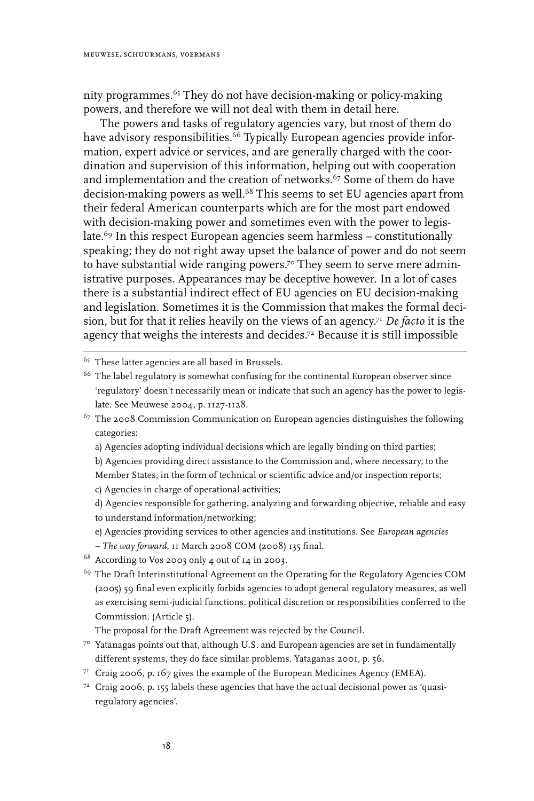nity programmes.<sup>65</sup> They do not have decision-making or policy-making powers, and therefore we will not deal with them in detail here.

The powers and tasks of regulatory agencies vary, but most of them do have advisory responsibilities.<sup>66</sup> Typically European agencies provide information, expert advice or services, and are generally charged with the coordination and supervision of this information, helping out with cooperation and implementation and the creation of networks.<sup>67</sup> Some of them do have decision-making powers as well.<sup>68</sup> This seems to set EU agencies apart from their federal American counterparts which are for the most part endowed with decision-making power and sometimes even with the power to legislate.<sup>69</sup> In this respect European agencies seem harmless – constitutionally speaking; they do not right away upset the balance of power and do not seem to have substantial wide ranging powers.<sup>70</sup> They seem to serve mere administrative purposes. Appearances may be deceptive however. In a lot of cases there is a substantial indirect effect of EU agencies on EU decision-making and legislation. Sometimes it is the Commission that makes the formal decision, but for that it relies heavily on the views of an agency.71 *De facto* it is the agency that weighs the interests and decides.72 Because it is still impossible

<sup>65</sup> These latter agencies are all based in Brussels.

a) Agencies adopting individual decisions which are legally binding on third parties;

- e) Agencies providing services to other agencies and institutions. See *European agencies*
- *The way forward*, 11 March 2008 COM (2008) 135 final.
- 68 According to Vos 2003 only 4 out of 14 in 2003.

<sup>69</sup> The Draft Interinstitutional Agreement on the Operating for the Regulatory Agencies COM (2005) 59 final even explicitly forbids agencies to adopt general regulatory measures, as well as exercising semi-judicial functions, political discretion or responsibilities conferred to the Commission. (Article 5).

The proposal for the Draft Agreement was rejected by the Council.

- 70 Yatanagas points out that, although U.S. and European agencies are set in fundamentally different systems, they do face similar problems. Yataganas 2001, p. 56.
- $7<sup>1</sup>$  Craig 2006, p. 167 gives the example of the European Medicines Agency (EMEA).
- $72$  Craig 2006, p. 155 labels these agencies that have the actual decisional power as 'quasiregulatory agencies'.

<sup>&</sup>lt;sup>66</sup> The label regulatory is somewhat confusing for the continental European observer since 'regulatory' doesn't necessarily mean or indicate that such an agency has the power to legislate. See Meuwese 2004, p. 1127-1128.

<sup>67</sup> The 2008 Commission Communication on European agencies distinguishes the following categories:

b) Agencies providing direct assistance to the Commission and, where necessary, to the Member States, in the form of technical or scientific advice and/or inspection reports; c) Agencies in charge of operational activities;

d) Agencies responsible for gathering, analyzing and forwarding objective, reliable and easy to understand information/networking;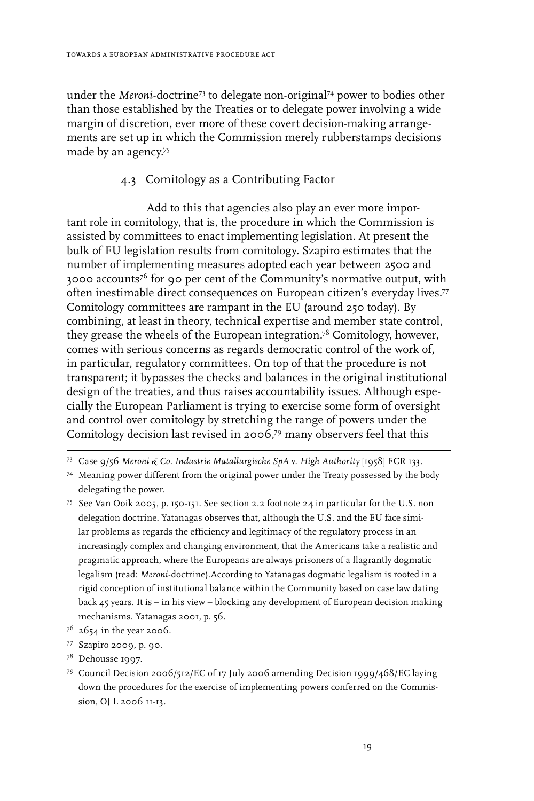under the *Meroni*-doctrine<sup>73</sup> to delegate non-original<sup>74</sup> power to bodies other than those established by the Treaties or to delegate power involving a wide margin of discretion, ever more of these covert decision-making arrangements are set up in which the Commission merely rubberstamps decisions made by an agency.75

#### 4.3 Comitology as a Contributing Factor

Add to this that agencies also play an ever more important role in comitology, that is, the procedure in which the Commission is assisted by committees to enact implementing legislation. At present the bulk of EU legislation results from comitology. Szapiro estimates that the number of implementing measures adopted each year between 2500 and 3000 accounts76 for 90 per cent of the Community's normative output, with often inestimable direct consequences on European citizen's everyday lives.77 Comitology committees are rampant in the EU (around 250 today). By combining, at least in theory, technical expertise and member state control, they grease the wheels of the European integration.78 Comitology, however, comes with serious concerns as regards democratic control of the work of, in particular, regulatory committees. On top of that the procedure is not transparent; it bypasses the checks and balances in the original institutional design of the treaties, and thus raises accountability issues. Although especially the European Parliament is trying to exercise some form of oversight and control over comitology by stretching the range of powers under the Comitology decision last revised in 2006, 79 many observers feel that this

- 77 Szapiro 2009, p. 90.
- 78 Dehousse 1997.
- 79 Council Decision 2006/512/EC of 17 July 2006 amending Decision 1999/468/EC laying down the procedures for the exercise of implementing powers conferred on the Commission, OJ L 2006 11-13.

<sup>73</sup> Case 9/56 *Meroni & Co. Industrie Matallurgische SpA* v. *High Authority* [1958] ECR 133.

<sup>74</sup> Meaning power different from the original power under the Treaty possessed by the body delegating the power.

<sup>75</sup> See Van Ooik 2005, p. 150-151. See section 2.2 footnote 24 in particular for the U.S. non delegation doctrine. Yatanagas observes that, although the U.S. and the EU face similar problems as regards the efficiency and legitimacy of the regulatory process in an increasingly complex and changing environment, that the Americans take a realistic and pragmatic approach, where the Europeans are always prisoners of a flagrantly dogmatic legalism (read: *Meroni*-doctrine).According to Yatanagas dogmatic legalism is rooted in a rigid conception of institutional balance within the Community based on case law dating back  $45$  years. It is – in his view – blocking any development of European decision making mechanisms. Yatanagas 2001, p. 56.

 $7^6$  2654 in the year 2006.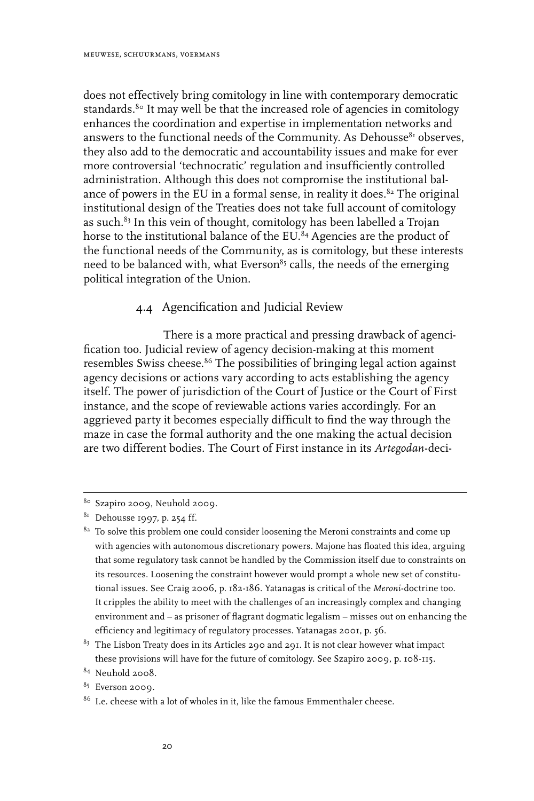does not effectively bring comitology in line with contemporary democratic standards.<sup>80</sup> It may well be that the increased role of agencies in comitology enhances the coordination and expertise in implementation networks and answers to the functional needs of the Community. As Dehousse $81$  observes, they also add to the democratic and accountability issues and make for ever more controversial 'technocratic' regulation and insufficiently controlled administration. Although this does not compromise the institutional balance of powers in the EU in a formal sense, in reality it does. $82$  The original institutional design of the Treaties does not take full account of comitology as such.<sup>83</sup> In this vein of thought, comitology has been labelled a Trojan horse to the institutional balance of the EU.<sup>84</sup> Agencies are the product of the functional needs of the Community, as is comitology, but these interests need to be balanced with, what Everson<sup>85</sup> calls, the needs of the emerging political integration of the Union.

#### 4.4 Agencification and Judicial Review

There is a more practical and pressing drawback of agencification too. Judicial review of agency decision-making at this moment resembles Swiss cheese.<sup>86</sup> The possibilities of bringing legal action against agency decisions or actions vary according to acts establishing the agency itself. The power of jurisdiction of the Court of Justice or the Court of First instance, and the scope of reviewable actions varies accordingly. For an aggrieved party it becomes especially difficult to find the way through the maze in case the formal authority and the one making the actual decision are two different bodies. The Court of First instance in its *Artegodan*-deci-

<sup>80</sup> Szapiro 2009, Neuhold 2009.

 $81$  Dehousse 1997, p. 254 ff.

<sup>&</sup>lt;sup>82</sup> To solve this problem one could consider loosening the Meroni constraints and come up with agencies with autonomous discretionary powers. Majone has floated this idea, arguing that some regulatory task cannot be handled by the Commission itself due to constraints on its resources. Loosening the constraint however would prompt a whole new set of constitutional issues. See Craig 2006, p. 182-186. Yatanagas is critical of the *Meroni*-doctrine too. It cripples the ability to meet with the challenges of an increasingly complex and changing environment and – as prisoner of flagrant dogmatic legalism – misses out on enhancing the efficiency and legitimacy of regulatory processes. Yatanagas 2001, p. 56.

 $83$  The Lisbon Treaty does in its Articles 290 and 291. It is not clear however what impact these provisions will have for the future of comitology. See Szapiro 2009, p. 108-115.

<sup>84</sup> Neuhold 2008.

 $85$  Everson 2009.

 $^{86}\,$  I.e. cheese with a lot of wholes in it, like the famous Emmenthaler cheese.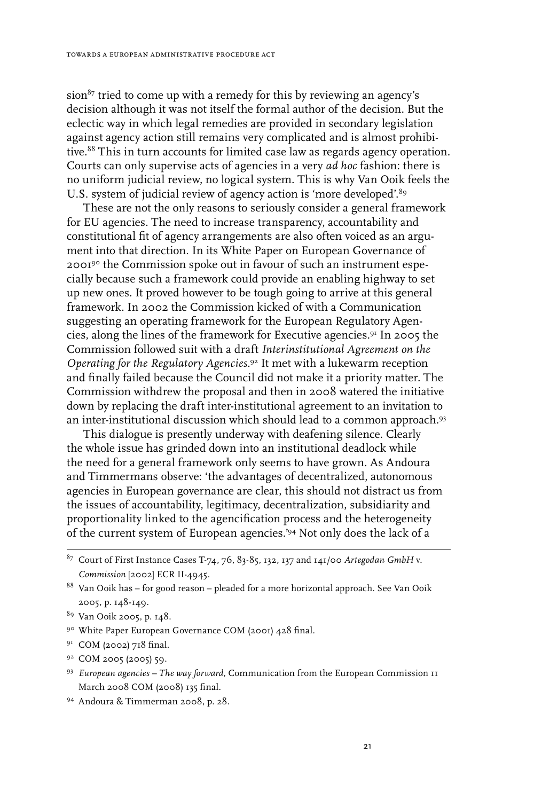$sion<sup>87</sup>$  tried to come up with a remedy for this by reviewing an agency's decision although it was not itself the formal author of the decision. But the eclectic way in which legal remedies are provided in secondary legislation against agency action still remains very complicated and is almost prohibitive.<sup>88</sup> This in turn accounts for limited case law as regards agency operation. Courts can only supervise acts of agencies in a very *ad hoc* fashion: there is no uniform judicial review, no logical system. This is why Van Ooik feels the U.S. system of judicial review of agency action is 'more developed'.<sup>89</sup>

These are not the only reasons to seriously consider a general framework for EU agencies. The need to increase transparency, accountability and constitutional fit of agency arrangements are also often voiced as an argument into that direction. In its White Paper on European Governance of 2001<sup>90</sup> the Commission spoke out in favour of such an instrument especially because such a framework could provide an enabling highway to set up new ones. It proved however to be tough going to arrive at this general framework. In 2002 the Commission kicked of with a Communication suggesting an operating framework for the European Regulatory Agencies, along the lines of the framework for Executive agencies.91 In 2005 the Commission followed suit with a draft *Interinstitutional Agreement on the Operating for the Regulatory Agencies*. 92 It met with a lukewarm reception and finally failed because the Council did not make it a priority matter. The Commission withdrew the proposal and then in 2008 watered the initiative down by replacing the draft inter-institutional agreement to an invitation to an inter-institutional discussion which should lead to a common approach.<sup>93</sup>

This dialogue is presently underway with deafening silence. Clearly the whole issue has grinded down into an institutional deadlock while the need for a general framework only seems to have grown. As Andoura and Timmermans observe: 'the advantages of decentralized, autonomous agencies in European governance are clear, this should not distract us from the issues of accountability, legitimacy, decentralization, subsidiarity and proportionality linked to the agencification process and the heterogeneity of the current system of European agencies.'94 Not only does the lack of a

- <sup>91</sup> COM (2002) 718 final.
- 92 COM 2005 (2005) 59.
- <sup>93</sup> European agencies The way forward, Communication from the European Commission 1 March 2008 COM (2008) 135 final.
- 94 Andoura & Timmerman 2008, p. 28.

<sup>87</sup> Court of First Instance Cases T-74, 76, 83-85, 132, 137 and 141/00 *Artegodan GmbH* v. *Commission* [2002] ECR II-4945.

<sup>88</sup> Van Ooik has – for good reason – pleaded for a more horizontal approach. See Van Ooik 2005, p. 148-149.

<sup>89</sup> Van Ooik 2005, p. 148.

<sup>90</sup> White Paper European Governance COM (2001) 428 final.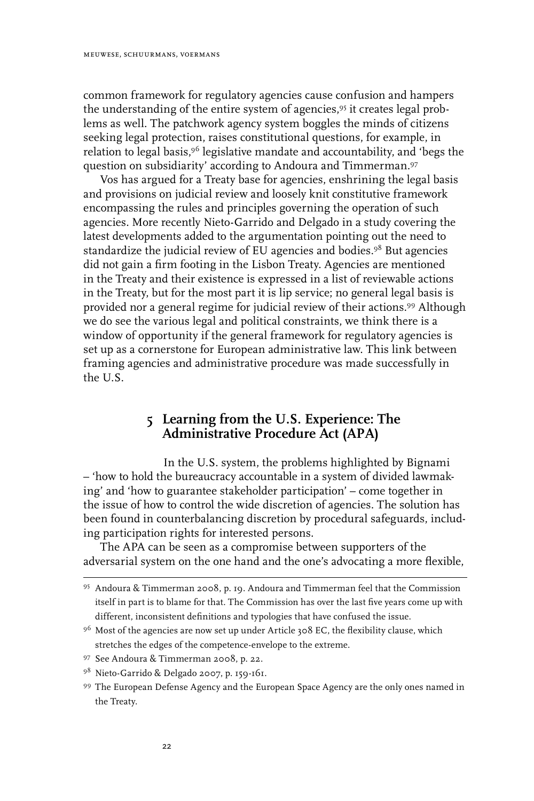common framework for regulatory agencies cause confusion and hampers the understanding of the entire system of agencies,<sup>95</sup> it creates legal problems as well. The patchwork agency system boggles the minds of citizens seeking legal protection, raises constitutional questions, for example, in relation to legal basis,96 legislative mandate and accountability, and 'begs the question on subsidiarity' according to Andoura and Timmerman.97

Vos has argued for a Treaty base for agencies, enshrining the legal basis and provisions on judicial review and loosely knit constitutive framework encompassing the rules and principles governing the operation of such agencies. More recently Nieto-Garrido and Delgado in a study covering the latest developments added to the argumentation pointing out the need to standardize the judicial review of EU agencies and bodies.98 But agencies did not gain a firm footing in the Lisbon Treaty. Agencies are mentioned in the Treaty and their existence is expressed in a list of reviewable actions in the Treaty, but for the most part it is lip service; no general legal basis is provided nor a general regime for judicial review of their actions.99 Although we do see the various legal and political constraints, we think there is a window of opportunity if the general framework for regulatory agencies is set up as a cornerstone for European administrative law. This link between framing agencies and administrative procedure was made successfully in the U.S.

## **5 Learning from the U.S. Experience: The Administrative Procedure Act (APA)**

In the U.S. system, the problems highlighted by Bignami – 'how to hold the bureaucracy accountable in a system of divided lawmaking' and 'how to guarantee stakeholder participation' – come together in the issue of how to control the wide discretion of agencies. The solution has been found in counterbalancing discretion by procedural safeguards, including participation rights for interested persons.

The APA can be seen as a compromise between supporters of the adversarial system on the one hand and the one's advocating a more flexible,

<sup>95</sup> Andoura & Timmerman 2008, p. 19. Andoura and Timmerman feel that the Commission itself in part is to blame for that. The Commission has over the last five years come up with different, inconsistent definitions and typologies that have confused the issue.

<sup>&</sup>lt;sup>96</sup> Most of the agencies are now set up under Article 308 EC, the flexibility clause, which stretches the edges of the competence-envelope to the extreme.

<sup>97</sup> See Andoura & Timmerman 2008, p. 22.

<sup>98</sup> Nieto-Garrido & Delgado 2007, p. 159-161.

<sup>99</sup> The European Defense Agency and the European Space Agency are the only ones named in the Treaty.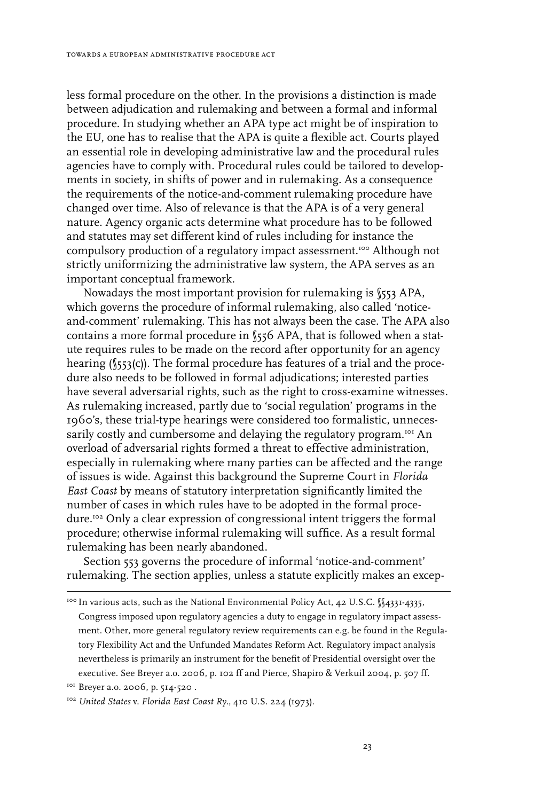less formal procedure on the other. In the provisions a distinction is made between adjudication and rulemaking and between a formal and informal procedure. In studying whether an APA type act might be of inspiration to the EU, one has to realise that the APA is quite a flexible act. Courts played an essential role in developing administrative law and the procedural rules agencies have to comply with. Procedural rules could be tailored to developments in society, in shifts of power and in rulemaking. As a consequence the requirements of the notice-and-comment rulemaking procedure have changed over time. Also of relevance is that the APA is of a very general nature. Agency organic acts determine what procedure has to be followed and statutes may set different kind of rules including for instance the compulsory production of a regulatory impact assessment.<sup>100</sup> Although not strictly uniformizing the administrative law system, the APA serves as an important conceptual framework.

Nowadays the most important provision for rulemaking is §553 APA, which governs the procedure of informal rulemaking, also called 'noticeand-comment' rulemaking. This has not always been the case. The APA also contains a more formal procedure in §556 APA, that is followed when a statute requires rules to be made on the record after opportunity for an agency hearing (§553(c)). The formal procedure has features of a trial and the procedure also needs to be followed in formal adjudications; interested parties have several adversarial rights, such as the right to cross-examine witnesses. As rulemaking increased, partly due to 'social regulation' programs in the 1960's, these trial-type hearings were considered too formalistic, unnecessarily costly and cumbersome and delaying the regulatory program.101 An overload of adversarial rights formed a threat to effective administration, especially in rulemaking where many parties can be affected and the range of issues is wide. Against this background the Supreme Court in *Florida East Coast* by means of statutory interpretation significantly limited the number of cases in which rules have to be adopted in the formal procedure.102 Only a clear expression of congressional intent triggers the formal procedure; otherwise informal rulemaking will suffice. As a result formal rulemaking has been nearly abandoned.

Section 553 governs the procedure of informal 'notice-and-comment' rulemaking. The section applies, unless a statute explicitly makes an excep-

 $100$  In various acts, such as the National Environmental Policy Act, 42 U.S.C.  $\sqrt{4331-4335}$ , Congress imposed upon regulatory agencies a duty to engage in regulatory impact assessment. Other, more general regulatory review requirements can e.g. be found in the Regulatory Flexibility Act and the Unfunded Mandates Reform Act. Regulatory impact analysis nevertheless is primarily an instrument for the benefit of Presidential oversight over the executive. See Breyer a.o. 2006, p. 102 ff and Pierce, Shapiro & Verkuil 2004, p. 507 ff.

<sup>&</sup>lt;sup>101</sup> Breyer a.o. 2006, p. 514-520.

<sup>102</sup> *United States* v. *Florida East Coast Ry.*, 410 U.S. 224 (1973).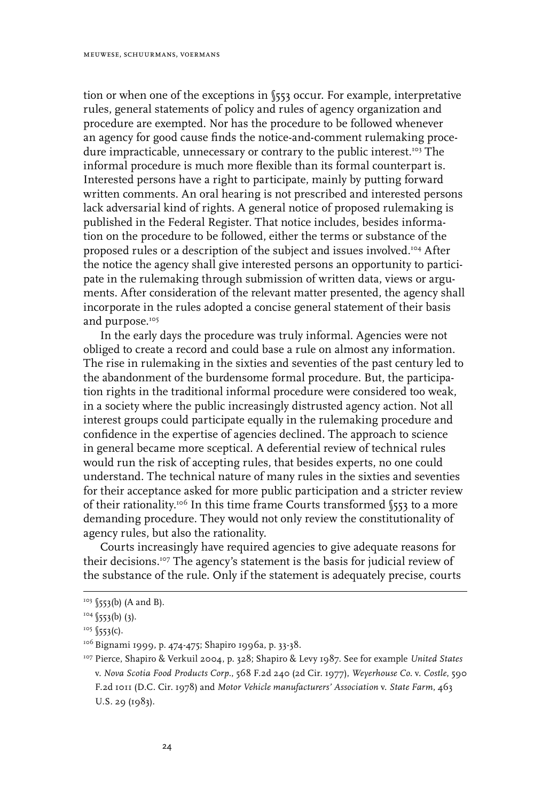tion or when one of the exceptions in §553 occur. For example, interpretative rules, general statements of policy and rules of agency organization and procedure are exempted. Nor has the procedure to be followed whenever an agency for good cause finds the notice-and-comment rulemaking procedure impracticable, unnecessary or contrary to the public interest.<sup>103</sup> The informal procedure is much more flexible than its formal counterpart is. Interested persons have a right to participate, mainly by putting forward written comments. An oral hearing is not prescribed and interested persons lack adversarial kind of rights. A general notice of proposed rulemaking is published in the Federal Register. That notice includes, besides information on the procedure to be followed, either the terms or substance of the proposed rules or a description of the subject and issues involved.104 After the notice the agency shall give interested persons an opportunity to participate in the rulemaking through submission of written data, views or arguments. After consideration of the relevant matter presented, the agency shall incorporate in the rules adopted a concise general statement of their basis and purpose.<sup>105</sup>

In the early days the procedure was truly informal. Agencies were not obliged to create a record and could base a rule on almost any information. The rise in rulemaking in the sixties and seventies of the past century led to the abandonment of the burdensome formal procedure. But, the participation rights in the traditional informal procedure were considered too weak, in a society where the public increasingly distrusted agency action. Not all interest groups could participate equally in the rulemaking procedure and confidence in the expertise of agencies declined. The approach to science in general became more sceptical. A deferential review of technical rules would run the risk of accepting rules, that besides experts, no one could understand. The technical nature of many rules in the sixties and seventies for their acceptance asked for more public participation and a stricter review of their rationality.106 In this time frame Courts transformed §553 to a more demanding procedure. They would not only review the constitutionality of agency rules, but also the rationality.

Courts increasingly have required agencies to give adequate reasons for their decisions.107 The agency's statement is the basis for judicial review of the substance of the rule. Only if the statement is adequately precise, courts

<sup>&</sup>lt;sup>103</sup> §553(b) (A and B).

 $104$  (553(b) (3).

 $105$  \$553(c).

<sup>&</sup>lt;sup>106</sup> Bignami 1999, p. 474-475; Shapiro 1996a, p. 33-38.

<sup>107</sup> Pierce, Shapiro & Verkuil 2004, p. 328; Shapiro & Levy 1987. See for example *United States*  v. *Nova Scotia Food Products Corp.*, 568 F.2d 240 (2d Cir. 1977), *Weyerhouse Co.* v. *Costle*, 590 F.2d 1011 (D.C. Cir. 1978) and *Motor Vehicle manufacturers' Association* v. *State Farm*, 463 U.S. 29 (1983).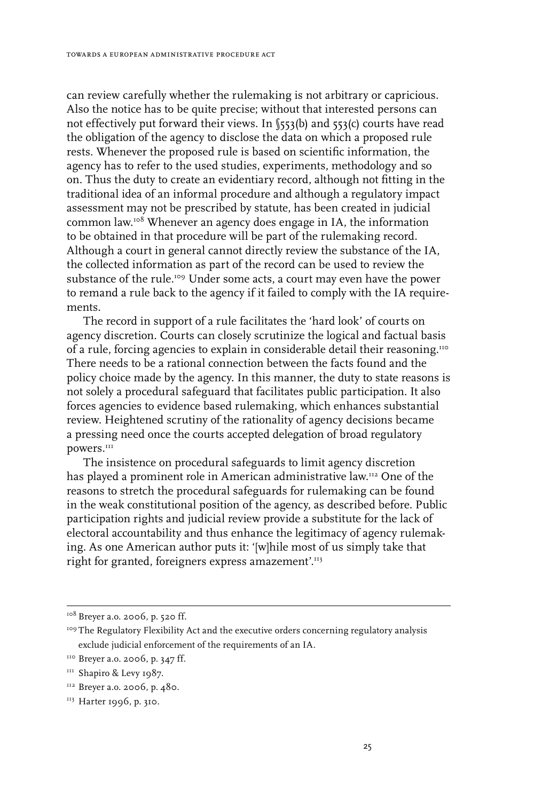can review carefully whether the rulemaking is not arbitrary or capricious. Also the notice has to be quite precise; without that interested persons can not effectively put forward their views. In §553(b) and 553(c) courts have read the obligation of the agency to disclose the data on which a proposed rule rests. Whenever the proposed rule is based on scientific information, the agency has to refer to the used studies, experiments, methodology and so on. Thus the duty to create an evidentiary record, although not fitting in the traditional idea of an informal procedure and although a regulatory impact assessment may not be prescribed by statute, has been created in judicial common law.108 Whenever an agency does engage in IA, the information to be obtained in that procedure will be part of the rulemaking record. Although a court in general cannot directly review the substance of the IA, the collected information as part of the record can be used to review the substance of the rule.<sup>109</sup> Under some acts, a court may even have the power to remand a rule back to the agency if it failed to comply with the IA requirements.

The record in support of a rule facilitates the 'hard look' of courts on agency discretion. Courts can closely scrutinize the logical and factual basis of a rule, forcing agencies to explain in considerable detail their reasoning.110 There needs to be a rational connection between the facts found and the policy choice made by the agency. In this manner, the duty to state reasons is not solely a procedural safeguard that facilitates public participation. It also forces agencies to evidence based rulemaking, which enhances substantial review. Heightened scrutiny of the rationality of agency decisions became a pressing need once the courts accepted delegation of broad regulatory powers.<sup>111</sup>

The insistence on procedural safeguards to limit agency discretion has played a prominent role in American administrative law.112 One of the reasons to stretch the procedural safeguards for rulemaking can be found in the weak constitutional position of the agency, as described before. Public participation rights and judicial review provide a substitute for the lack of electoral accountability and thus enhance the legitimacy of agency rulemaking. As one American author puts it: '[w]hile most of us simply take that right for granted, foreigners express amazement'.<sup>113</sup>

<sup>&</sup>lt;sup>108</sup> Breyer a.o. 2006, p. 520 ff.

<sup>109</sup> The Regulatory Flexibility Act and the executive orders concerning regulatory analysis exclude judicial enforcement of the requirements of an IA.

<sup>&</sup>lt;sup>110</sup> Breyer a.o. 2006, p. 347 ff.

<sup>&</sup>lt;sup>111</sup> Shapiro & Levy 1987.

<sup>&</sup>lt;sup>112</sup> Breyer a.o. 2006, p. 480.

<sup>&</sup>lt;sup>113</sup> Harter 1996, p. 310.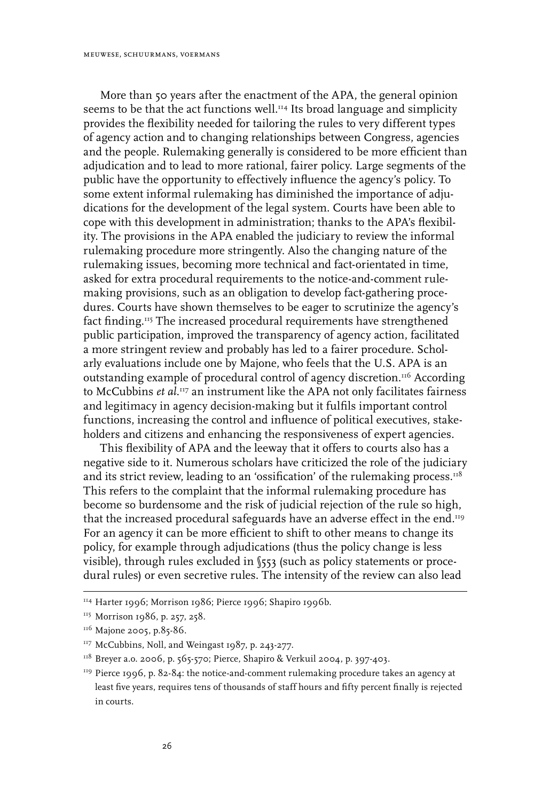More than 50 years after the enactment of the APA, the general opinion seems to be that the act functions well.<sup>114</sup> Its broad language and simplicity provides the flexibility needed for tailoring the rules to very different types of agency action and to changing relationships between Congress, agencies and the people. Rulemaking generally is considered to be more efficient than adjudication and to lead to more rational, fairer policy. Large segments of the public have the opportunity to effectively influence the agency's policy. To some extent informal rulemaking has diminished the importance of adjudications for the development of the legal system. Courts have been able to cope with this development in administration; thanks to the APA's flexibility. The provisions in the APA enabled the judiciary to review the informal rulemaking procedure more stringently. Also the changing nature of the rulemaking issues, becoming more technical and fact-orientated in time, asked for extra procedural requirements to the notice-and-comment rulemaking provisions, such as an obligation to develop fact-gathering procedures. Courts have shown themselves to be eager to scrutinize the agency's fact finding.<sup>115</sup> The increased procedural requirements have strengthened public participation, improved the transparency of agency action, facilitated a more stringent review and probably has led to a fairer procedure. Scholarly evaluations include one by Majone, who feels that the U.S. APA is an outstanding example of procedural control of agency discretion.116 According to McCubbins *et al*. 117 an instrument like the APA not only facilitates fairness and legitimacy in agency decision-making but it fulfils important control functions, increasing the control and influence of political executives, stakeholders and citizens and enhancing the responsiveness of expert agencies.

This flexibility of APA and the leeway that it offers to courts also has a negative side to it. Numerous scholars have criticized the role of the judiciary and its strict review, leading to an 'ossification' of the rulemaking process. $118$ This refers to the complaint that the informal rulemaking procedure has become so burdensome and the risk of judicial rejection of the rule so high, that the increased procedural safeguards have an adverse effect in the end.<sup>119</sup> For an agency it can be more efficient to shift to other means to change its policy, for example through adjudications (thus the policy change is less visible), through rules excluded in §553 (such as policy statements or procedural rules) or even secretive rules. The intensity of the review can also lead

<sup>&</sup>lt;sup>114</sup> Harter 1996; Morrison 1986; Pierce 1996; Shapiro 1996b.

<sup>&</sup>lt;sup>115</sup> Morrison 1986, p. 257, 258.

<sup>&</sup>lt;sup>116</sup> Majone 2005, p.85-86.

<sup>&</sup>lt;sup>117</sup> McCubbins, Noll, and Weingast 1987, p. 243-277.

 $118$  Breyer a.o. 2006, p. 565-570; Pierce, Shapiro & Verkuil 2004, p. 397-403.

<sup>&</sup>lt;sup>119</sup> Pierce 1996, p. 82-84: the notice-and-comment rulemaking procedure takes an agency at least five years, requires tens of thousands of staff hours and fifty percent finally is rejected in courts.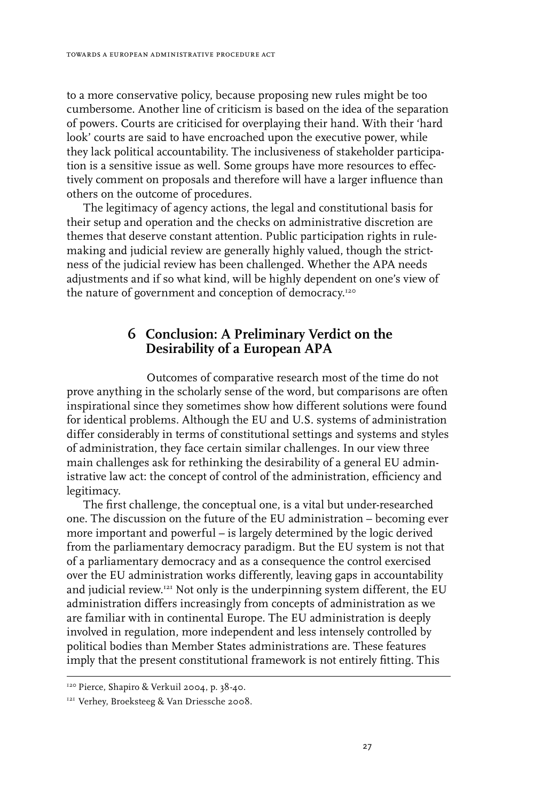to a more conservative policy, because proposing new rules might be too cumbersome. Another line of criticism is based on the idea of the separation of powers. Courts are criticised for overplaying their hand. With their 'hard look' courts are said to have encroached upon the executive power, while they lack political accountability. The inclusiveness of stakeholder participation is a sensitive issue as well. Some groups have more resources to effectively comment on proposals and therefore will have a larger influence than others on the outcome of procedures.

The legitimacy of agency actions, the legal and constitutional basis for their setup and operation and the checks on administrative discretion are themes that deserve constant attention. Public participation rights in rulemaking and judicial review are generally highly valued, though the strictness of the judicial review has been challenged. Whether the APA needs adjustments and if so what kind, will be highly dependent on one's view of the nature of government and conception of democracy.<sup>120</sup>

## **6 Conclusion: A Preliminary Verdict on the Desirability of a European APA**

Outcomes of comparative research most of the time do not prove anything in the scholarly sense of the word, but comparisons are often inspirational since they sometimes show how different solutions were found for identical problems. Although the EU and U.S. systems of administration differ considerably in terms of constitutional settings and systems and styles of administration, they face certain similar challenges. In our view three main challenges ask for rethinking the desirability of a general EU administrative law act: the concept of control of the administration, efficiency and legitimacy.

The first challenge, the conceptual one, is a vital but under-researched one. The discussion on the future of the EU administration – becoming ever more important and powerful – is largely determined by the logic derived from the parliamentary democracy paradigm. But the EU system is not that of a parliamentary democracy and as a consequence the control exercised over the EU administration works differently, leaving gaps in accountability and judicial review.121 Not only is the underpinning system different, the EU administration differs increasingly from concepts of administration as we are familiar with in continental Europe. The EU administration is deeply involved in regulation, more independent and less intensely controlled by political bodies than Member States administrations are. These features imply that the present constitutional framework is not entirely fitting. This

<sup>&</sup>lt;sup>120</sup> Pierce, Shapiro & Verkuil 2004, p. 38-40.

<sup>&</sup>lt;sup>121</sup> Verhey, Broeksteeg & Van Driessche 2008.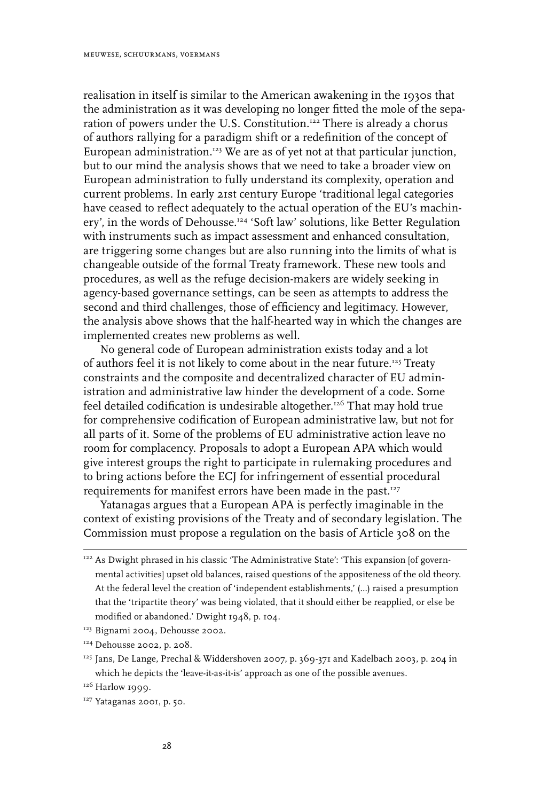realisation in itself is similar to the American awakening in the 1930s that the administration as it was developing no longer fitted the mole of the separation of powers under the U.S. Constitution.<sup>122</sup> There is already a chorus of authors rallying for a paradigm shift or a redefinition of the concept of European administration.<sup>123</sup> We are as of yet not at that particular junction, but to our mind the analysis shows that we need to take a broader view on European administration to fully understand its complexity, operation and current problems. In early 21st century Europe 'traditional legal categories have ceased to reflect adequately to the actual operation of the EU's machinery', in the words of Dehousse.124 'Soft law' solutions, like Better Regulation with instruments such as impact assessment and enhanced consultation, are triggering some changes but are also running into the limits of what is changeable outside of the formal Treaty framework. These new tools and procedures, as well as the refuge decision-makers are widely seeking in agency-based governance settings, can be seen as attempts to address the second and third challenges, those of efficiency and legitimacy. However, the analysis above shows that the half-hearted way in which the changes are implemented creates new problems as well.

No general code of European administration exists today and a lot of authors feel it is not likely to come about in the near future.<sup>125</sup> Treaty constraints and the composite and decentralized character of EU administration and administrative law hinder the development of a code. Some feel detailed codification is undesirable altogether.126 That may hold true for comprehensive codification of European administrative law, but not for all parts of it. Some of the problems of EU administrative action leave no room for complacency. Proposals to adopt a European APA which would give interest groups the right to participate in rulemaking procedures and to bring actions before the ECJ for infringement of essential procedural requirements for manifest errors have been made in the past.<sup>127</sup>

Yatanagas argues that a European APA is perfectly imaginable in the context of existing provisions of the Treaty and of secondary legislation. The Commission must propose a regulation on the basis of Article 308 on the

<sup>&</sup>lt;sup>122</sup> As Dwight phrased in his classic 'The Administrative State': 'This expansion [of governmental activities] upset old balances, raised questions of the appositeness of the old theory. At the federal level the creation of 'independent establishments,' (…) raised a presumption that the 'tripartite theory' was being violated, that it should either be reapplied, or else be modified or abandoned.' Dwight 1948, p. 104.

<sup>&</sup>lt;sup>123</sup> Bignami 2004, Dehousse 2002.

<sup>124</sup> Dehousse 2002, p. 208.

<sup>&</sup>lt;sup>125</sup> Jans, De Lange, Prechal & Widdershoven 2007, p. 369-371 and Kadelbach 2003, p. 204 in which he depicts the 'leave-it-as-it-is' approach as one of the possible avenues.

<sup>&</sup>lt;sup>126</sup> Harlow 1999.

<sup>&</sup>lt;sup>127</sup> Yataganas 2001, p. 50.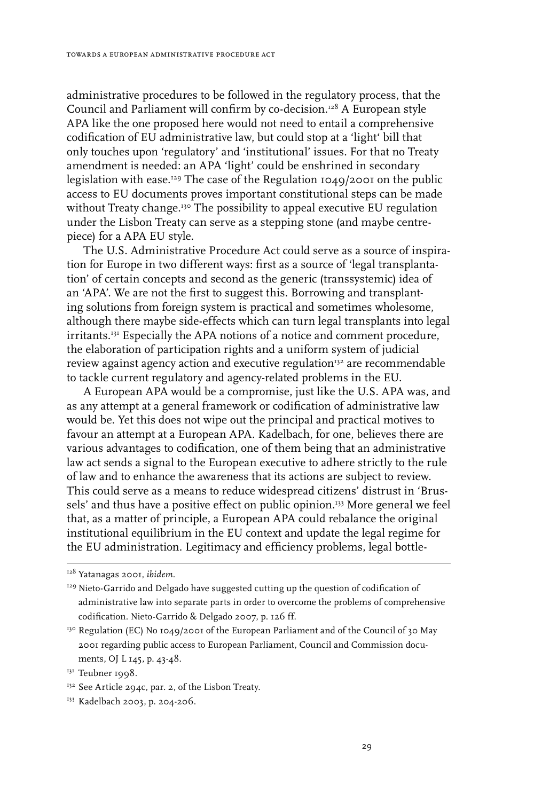administrative procedures to be followed in the regulatory process, that the Council and Parliament will confirm by co-decision.128 A European style APA like the one proposed here would not need to entail a comprehensive codification of EU administrative law, but could stop at a 'light' bill that only touches upon 'regulatory' and 'institutional' issues. For that no Treaty amendment is needed: an APA 'light' could be enshrined in secondary legislation with ease.<sup>129</sup> The case of the Regulation  $1049/2001$  on the public access to EU documents proves important constitutional steps can be made without Treaty change.<sup>130</sup> The possibility to appeal executive EU regulation under the Lisbon Treaty can serve as a stepping stone (and maybe centrepiece) for a APA EU style.

The U.S. Administrative Procedure Act could serve as a source of inspiration for Europe in two different ways: first as a source of 'legal transplantation' of certain concepts and second as the generic (transsystemic) idea of an 'APA'. We are not the first to suggest this. Borrowing and transplanting solutions from foreign system is practical and sometimes wholesome, although there maybe side-effects which can turn legal transplants into legal irritants.<sup>131</sup> Especially the APA notions of a notice and comment procedure, the elaboration of participation rights and a uniform system of judicial review against agency action and executive regulation132 are recommendable to tackle current regulatory and agency-related problems in the EU.

A European APA would be a compromise, just like the U.S. APA was, and as any attempt at a general framework or codification of administrative law would be. Yet this does not wipe out the principal and practical motives to favour an attempt at a European APA. Kadelbach, for one, believes there are various advantages to codification, one of them being that an administrative law act sends a signal to the European executive to adhere strictly to the rule of law and to enhance the awareness that its actions are subject to review. This could serve as a means to reduce widespread citizens' distrust in 'Brussels' and thus have a positive effect on public opinion.<sup>133</sup> More general we feel that, as a matter of principle, a European APA could rebalance the original institutional equilibrium in the EU context and update the legal regime for the EU administration. Legitimacy and efficiency problems, legal bottle-

<sup>128</sup> Yatanagas 2001, *ibidem*.

<sup>&</sup>lt;sup>129</sup> Nieto-Garrido and Delgado have suggested cutting up the question of codification of administrative law into separate parts in order to overcome the problems of comprehensive codification. Nieto-Garrido & Delgado 2007, p. 126 ff.

<sup>&</sup>lt;sup>130</sup> Regulation (EC) No 1049/2001 of the European Parliament and of the Council of 30 May 2001 regarding public access to European Parliament, Council and Commission documents, OJ L 145, p. 43-48.

<sup>&</sup>lt;sup>131</sup> Teubner 1998.

<sup>&</sup>lt;sup>132</sup> See Article 294c, par. 2, of the Lisbon Treaty.

<sup>133</sup> Kadelbach 2003, p. 204-206.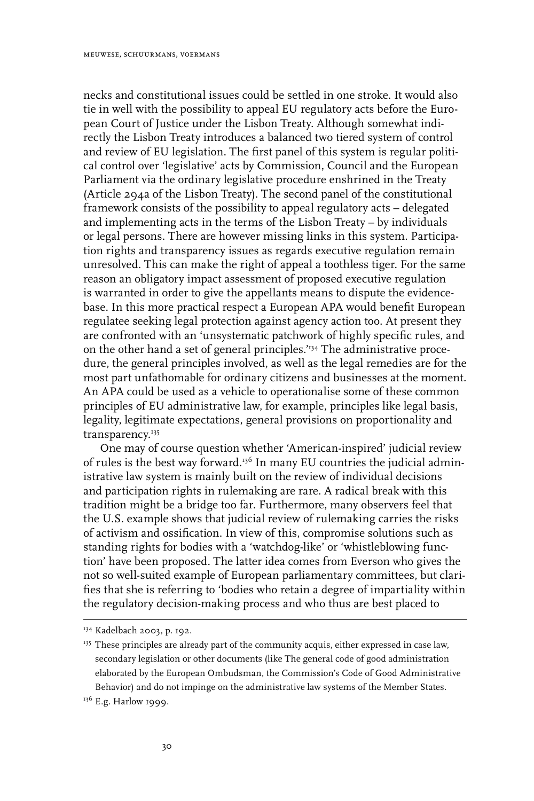necks and constitutional issues could be settled in one stroke. It would also tie in well with the possibility to appeal EU regulatory acts before the European Court of Justice under the Lisbon Treaty. Although somewhat indirectly the Lisbon Treaty introduces a balanced two tiered system of control and review of EU legislation. The first panel of this system is regular political control over 'legislative' acts by Commission, Council and the European Parliament via the ordinary legislative procedure enshrined in the Treaty (Article 294a of the Lisbon Treaty). The second panel of the constitutional framework consists of the possibility to appeal regulatory acts – delegated and implementing acts in the terms of the Lisbon Treaty – by individuals or legal persons. There are however missing links in this system. Participation rights and transparency issues as regards executive regulation remain unresolved. This can make the right of appeal a toothless tiger. For the same reason an obligatory impact assessment of proposed executive regulation is warranted in order to give the appellants means to dispute the evidencebase. In this more practical respect a European APA would benefit European regulatee seeking legal protection against agency action too. At present they are confronted with an 'unsystematic patchwork of highly specific rules, and on the other hand a set of general principles.'134 The administrative procedure, the general principles involved, as well as the legal remedies are for the most part unfathomable for ordinary citizens and businesses at the moment. An APA could be used as a vehicle to operationalise some of these common principles of EU administrative law, for example, principles like legal basis, legality, legitimate expectations, general provisions on proportionality and transparency.<sup>135</sup>

One may of course question whether 'American-inspired' judicial review of rules is the best way forward.<sup>136</sup> In many EU countries the judicial administrative law system is mainly built on the review of individual decisions and participation rights in rulemaking are rare. A radical break with this tradition might be a bridge too far. Furthermore, many observers feel that the U.S. example shows that judicial review of rulemaking carries the risks of activism and ossification. In view of this, compromise solutions such as standing rights for bodies with a 'watchdog-like' or 'whistleblowing function' have been proposed. The latter idea comes from Everson who gives the not so well-suited example of European parliamentary committees, but clarifies that she is referring to 'bodies who retain a degree of impartiality within the regulatory decision-making process and who thus are best placed to

<sup>134</sup> Kadelbach 2003, p. 192.

<sup>&</sup>lt;sup>135</sup> These principles are already part of the community acquis, either expressed in case law, secondary legislation or other documents (like The general code of good administration elaborated by the European Ombudsman, the Commission's Code of Good Administrative Behavior) and do not impinge on the administrative law systems of the Member States.

<sup>&</sup>lt;sup>136</sup> E.g. Harlow 1999.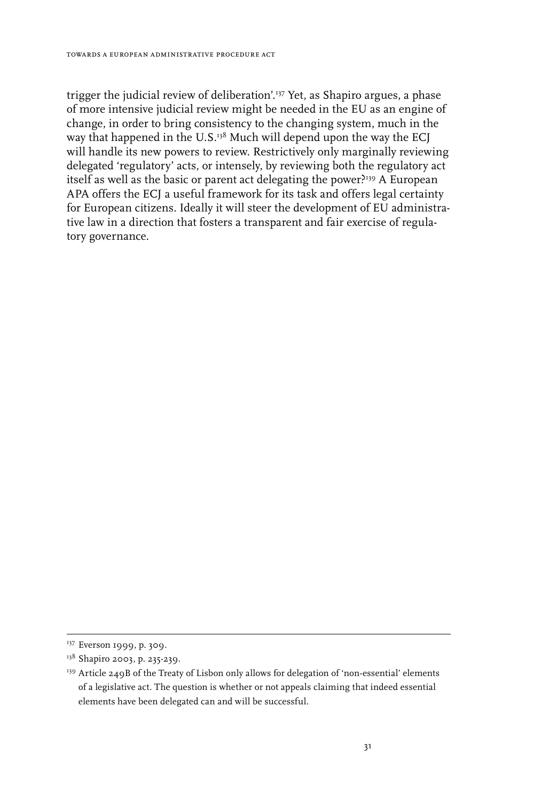trigger the judicial review of deliberation'.137 Yet, as Shapiro argues, a phase of more intensive judicial review might be needed in the EU as an engine of change, in order to bring consistency to the changing system, much in the way that happened in the U.S. $138$  Much will depend upon the way the ECJ will handle its new powers to review. Restrictively only marginally reviewing delegated 'regulatory' acts, or intensely, by reviewing both the regulatory act itself as well as the basic or parent act delegating the power?<sup>139</sup> A European APA offers the ECJ a useful framework for its task and offers legal certainty for European citizens. Ideally it will steer the development of EU administrative law in a direction that fosters a transparent and fair exercise of regulatory governance.

<sup>&</sup>lt;sup>137</sup> Everson 1999, p. 309.

<sup>&</sup>lt;sup>138</sup> Shapiro 2003, p. 235-239.

<sup>&</sup>lt;sup>139</sup> Article 249B of the Treaty of Lisbon only allows for delegation of 'non-essential' elements of a legislative act. The question is whether or not appeals claiming that indeed essential elements have been delegated can and will be successful.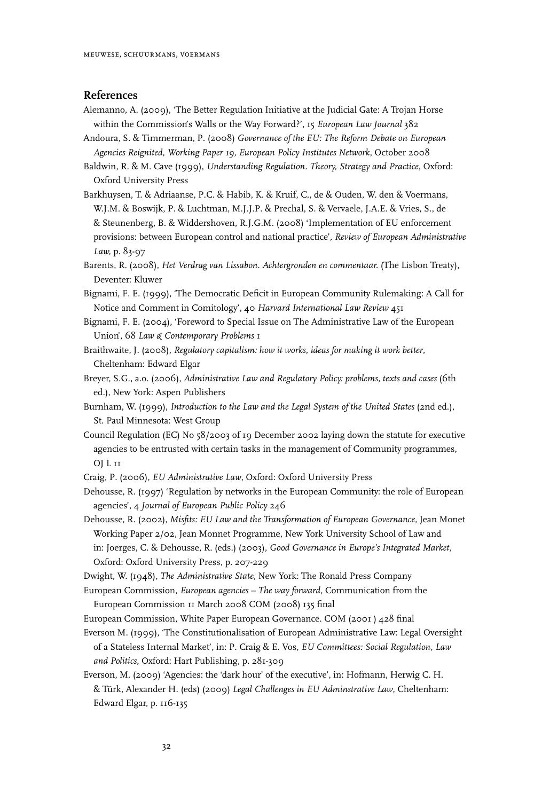#### **References**

- Alemanno, A. (2009), 'The Better Regulation Initiative at the Judicial Gate: A Trojan Horse within the Commission's Walls or the Way Forward?', 15 *European Law Journal* 382
- Andoura, S. & Timmerman, P. (2008) *Governance of the EU: The Reform Debate on European Agencies Reignited, Working Paper 19, European Policy Institutes Network*, October 2008
- Baldwin, R. & M. Cave (1999), *Understanding Regulation. Theory, Strategy and Practice*, Oxford: Oxford University Press
- Barkhuysen, T. & Adriaanse, P.C. & Habib, K. & Kruif, C., de & Ouden, W. den & Voermans, W.J.M. & Boswijk, P. & Luchtman, M.J.J.P. & Prechal, S. & Vervaele, J.A.E. & Vries, S., de & Steunenberg, B. & Widdershoven, R.J.G.M. (2008) 'Implementation of EU enforcement provisions: between European control and national practice', *Review of European Administrative Law,* p. 83-97
- Barents, R. (2008), *Het Verdrag van Lissabon. Achtergronden en commentaar.* (The Lisbon Treaty), Deventer: Kluwer
- Bignami, F. E. (1999), 'The Democratic Deficit in European Community Rulemaking: A Call for Notice and Comment in Comitology', 40 *Harvard International Law Review* 451
- Bignami, F. E. (2004), 'Foreword to Special Issue on The Administrative Law of the European Union', 68 *Law & Contemporary Problems* 1
- Braithwaite, J. (2008), *Regulatory capitalism: how it works, ideas for making it work better*, Cheltenham: Edward Elgar
- Breyer, S.G., a.o. (2006), *Administrative Law and Regulatory Policy: problems, texts and cases* (6th ed.), New York: Aspen Publishers
- Burnham, W. (1999), *Introduction to the Law and the Legal System of the United States* (2nd ed.), St. Paul Minnesota: West Group
- Council Regulation (EC) No 58/2003 of 19 December 2002 laying down the statute for executive agencies to be entrusted with certain tasks in the management of Community programmes, OJ L 11
- Craig, P. (2006), *EU Administrative Law*, Oxford: Oxford University Press

```
Dehousse, R. (1997) 'Regulation by networks in the European Community: the role of European 
agencies', 4 Journal of European Public Policy 246
```
Dehousse, R. (2002), *Misfits: EU Law and the Transformation of European Governance,* Jean Monet Working Paper 2/02, Jean Monnet Programme, New York University School of Law and in: Joerges, C. & Dehousse, R. (eds.) (2003), *Good Governance in Europe's Integrated Market,* Oxford: Oxford University Press, p. 207-229

Dwight, W. (1948), *The Administrative State*, New York: The Ronald Press Company

- European Commission, *European agencies The way forward*, Communication from the European Commission 11 March 2008 COM (2008) 135 final
- European Commission, White Paper European Governance. COM (2001 ) 428 final
- Everson M. (1999), 'The Constitutionalisation of European Administrative Law: Legal Oversight of a Stateless Internal Market', in: P. Craig & E. Vos, *EU Committees: Social Regulation, Law and Politics*, Oxford: Hart Publishing, p. 281-309
- Everson, M. (2009) 'Agencies: the 'dark hour' of the executive', in: Hofmann, Herwig C. H. & Türk, Alexander H. (eds) (2009) *Legal Challenges in EU Adminstrative Law*, Cheltenham: Edward Elgar, p. 116-135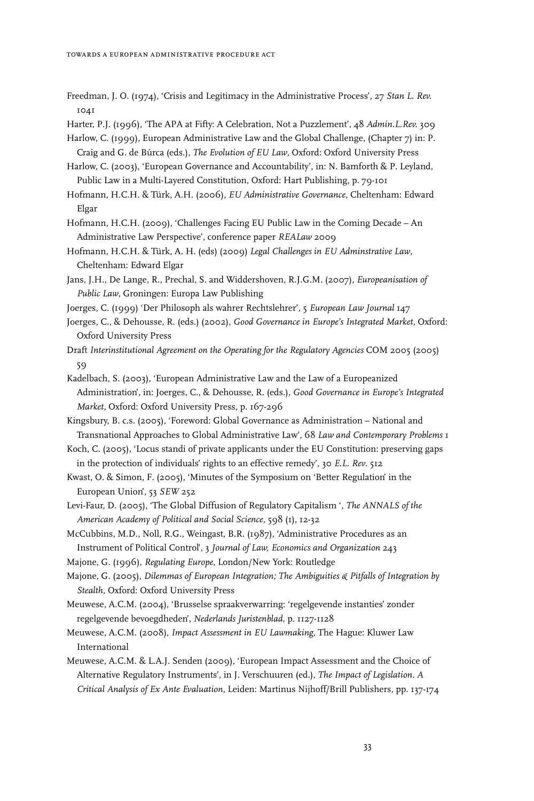- Freedman, J. O. (1974), 'Crisis and Legitimacy in the Administrative Process', 27 *Stan L. Rev.* 1041
- Harter, P.J. (1996), 'The APA at Fifty: A Celebration, Not a Puzzlement', 48 *Admin.L.Rev.* 309
- Harlow, C. (1999), European Administrative Law and the Global Challenge, (Chapter 7) in: P. Craig and G. de Búrca (eds.), *The Evolution of EU Law*, Oxford: Oxford University Press
- Harlow, C. (2003), 'European Governance and Accountability', in: N. Bamforth & P. Leyland, Public Law in a Multi-Layered Constitution, Oxford: Hart Publishing, p. 79-101
- Hofmann, H.C.H. & Türk, A.H. (2006), *EU Administrative Governance*, Cheltenham: Edward Elgar
- Hofmann, H.C.H. (2009), 'Challenges Facing EU Public Law in the Coming Decade An Administrative Law Perspective', conference paper *REALaw* 2009
- Hofmann, H.C.H. & Türk, A. H. (eds) (2009) *Legal Challenges in EU Adminstrative Law*, Cheltenham: Edward Elgar
- Jans, J.H., De Lange, R., Prechal, S. and Widdershoven, R.J.G.M. (2007), *Europeanisation of Public Law*, Groningen: Europa Law Publishing
- Joerges, C. (1999) 'Der Philosoph als wahrer Rechtslehrer', 5 *European Law Journal* 147
- Joerges, C., & Dehousse, R. (eds.) (2002), *Good Governance in Europe's Integrated Market,* Oxford: Oxford University Press
- Draft *Interinstitutional Agreement on the Operating for the Regulatory Agencies* COM 2005 (2005) 59
- Kadelbach, S. (2003), 'European Administrative Law and the Law of a Europeanized Administration', in: Joerges, C., & Dehousse, R. (eds.), *Good Governance in Europe's Integrated Market,* Oxford: Oxford University Press, p. 167-296
- Kingsbury, B. c.s. (2005), 'Foreword: Global Governance as Administration National and Transnational Approaches to Global Administrative Law', 68 *Law and Contemporary Problems* 1
- Koch, C. (2005), 'Locus standi of private applicants under the EU Constitution: preserving gaps in the protection of individuals' rights to an effective remedy', 30 *E.L. Rev*. 512
- Kwast, O. & Simon, F. (2005), 'Minutes of the Symposium on 'Better Regulation' in the European Union', 53 *SEW* 252
- Levi-Faur, D. (2005), 'The Global Diffusion of Regulatory Capitalism ', *The ANNALS of the American Academy of Political and Social Science,* 598 (1), 12-32
- McCubbins, M.D., Noll, R.G., Weingast, B.R. (1987), 'Administrative Procedures as an Instrument of Political Control', 3 *Journal of Law, Economics and Organization* 243
- Majone, G. (1996), *Regulating Europe*, London/New York: Routledge
- Majone, G. (2005), *Dilemmas of European Integration; The Ambiguities & Pitfalls of Integration by Stealth,* Oxford: Oxford University Press
- Meuwese, A.C.M. (2004), 'Brusselse spraakverwarring: 'regelgevende instanties' zonder regelgevende bevoegdheden', *Nederlands Juristenblad*, p. 1127-1128
- Meuwese, A.C.M. (2008), *Impact Assessment in EU Lawmaking*, The Hague: Kluwer Law International
- Meuwese, A.C.M. & L.A.J. Senden (2009), 'European Impact Assessment and the Choice of Alternative Regulatory Instruments', in J. Verschuuren (ed.), *The Impact of Legislation. A Critical Analysis of Ex Ante Evaluation*, Leiden: Martinus Nijhoff/Brill Publishers, pp. 137-174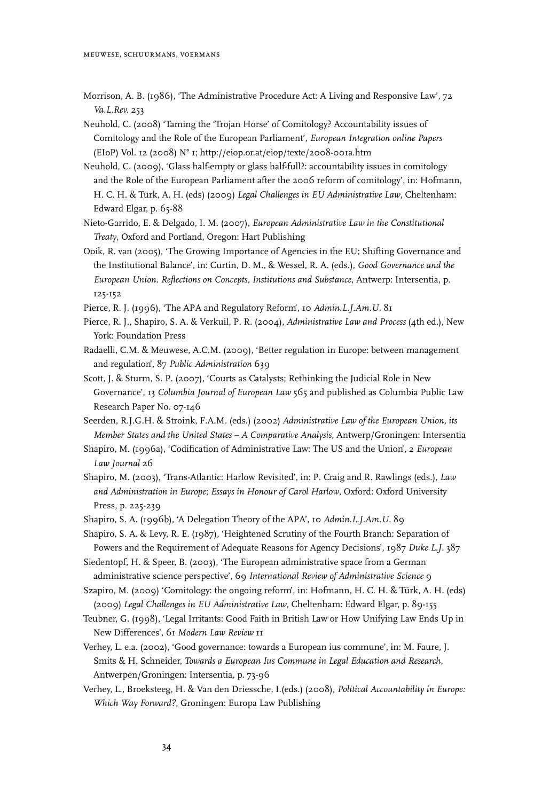Morrison, A. B. (1986), 'The Administrative Procedure Act: A Living and Responsive Law', 72 *Va.L.Rev.* 253

Neuhold, C. (2008) 'Taming the 'Trojan Horse' of Comitology? Accountability issues of Comitology and the Role of the European Parliament', *European Integration online Papers*  (EIoP) Vol. 12 (2008) N° 1; http://eiop.or.at/eiop/texte/2008-001a.htm

- Neuhold, C. (2009), 'Glass half-empty or glass half-full?: accountability issues in comitology and the Role of the European Parliament after the 2006 reform of comitology', in: Hofmann, H. C. H. & Türk, A. H. (eds) (2009) *Legal Challenges in EU Administrative Law*, Cheltenham: Edward Elgar, p. 65-88
- Nieto-Garrido, E. & Delgado, I. M. (2007), *European Administrative Law in the Constitutional Treaty*, Oxford and Portland, Oregon: Hart Publishing
- Ooik, R. van (2005), 'The Growing Importance of Agencies in the EU; Shifting Governance and the Institutional Balance', in: Curtin, D. M., & Wessel, R. A. (eds.), *Good Governance and the European Union*. *Reflections on Concepts, Institutions and Substance*, Antwerp: Intersentia, p. 125-152
- Pierce, R. J. (1996), 'The APA and Regulatory Reform', 10 *Admin.L.J.Am.U.* 81
- Pierce, R. J., Shapiro, S. A. & Verkuil, P. R. (2004), *Administrative Law and Process* (4th ed.), New York: Foundation Press
- Radaelli, C.M. & Meuwese, A.C.M. (2009), 'Better regulation in Europe: between management and regulation', 87 *Public Administration* 639
- Scott, J. & Sturm, S. P. (2007), 'Courts as Catalysts; Rethinking the Judicial Role in New Governance', 13 *Columbia Journal of European Law* 565 and published as Columbia Public Law Research Paper No. 07-146
- Seerden, R.J.G.H. & Stroink, F.A.M. (eds.) (2002) *Administrative Law of the European Union, its Member States and the United States – A Comparative Analysis*, Antwerp/Groningen: Intersentia
- Shapiro, M. (1996a), 'Codification of Administrative Law: The US and the Union', 2 *European Law Journal* 26
- Shapiro, M. (2003), 'Trans-Atlantic: Harlow Revisited', in: P. Craig and R. Rawlings (eds.), *Law and Administration in Europe*; *Essays in Honour of Carol Harlow*, Oxford: Oxford University Press, p. 225-239
- Shapiro, S. A. (1996b), 'A Delegation Theory of the APA', 10 *Admin.L.J.Am.U.* 89

Shapiro, S. A. & Levy, R. E. (1987), 'Heightened Scrutiny of the Fourth Branch: Separation of Powers and the Requirement of Adequate Reasons for Agency Decisions', 1987 *Duke L.J.* 387

- Siedentopf, H. & Speer, B. (2003), 'The European administrative space from a German administrative science perspective', 69 *International Review of Administrative Science* 9
- Szapiro, M. (2009) 'Comitology: the ongoing reform', in: Hofmann, H. C. H. & Türk, A. H. (eds) (2009) *Legal Challenges in EU Administrative Law*, Cheltenham: Edward Elgar, p. 89-155
- Teubner, G. (1998), 'Legal Irritants: Good Faith in British Law or How Unifying Law Ends Up in New Differences', 61 *Modern Law Review* 11
- Verhey, L. e.a. (2002), 'Good governance: towards a European ius commune', in: M. Faure, J. Smits & H. Schneider, *Towards a European Ius Commune in Legal Education and Research*, Antwerpen/Groningen: Intersentia, p. 73-96
- Verhey, L., Broeksteeg, H. & Van den Driessche, I.(eds.) (2008), *Political Accountability in Europe: Which Way Forward?*, Groningen: Europa Law Publishing